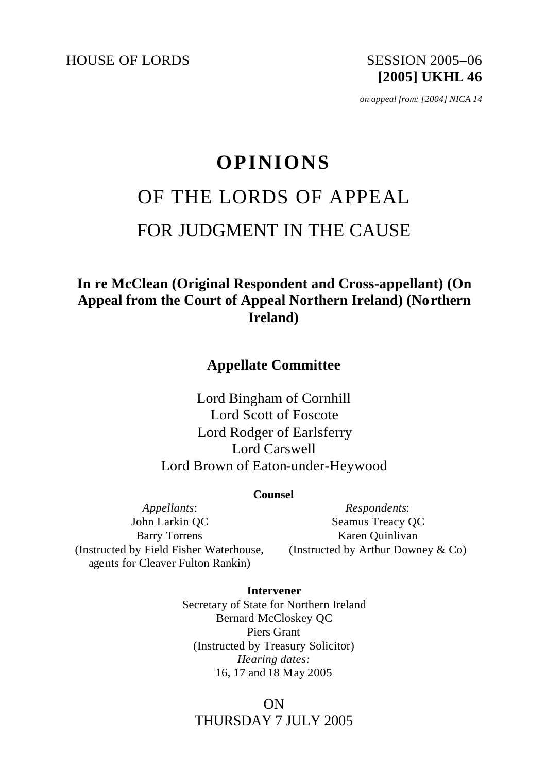HOUSE OF LORDS SESSION 2005-06



*on appeal from: [2004] NICA 14*

## **OPINIONS**

# OF THE LORDS OF APPEAL FOR JUDGMENT IN THE CAUSE

### **In re McClean (Original Respondent and Cross-appellant) (On Appeal from the Court of Appeal Northern Ireland) (Northern Ireland)**

**Appellate Committee**

Lord Bingham of Cornhill Lord Scott of Foscote Lord Rodger of Earlsferry Lord Carswell Lord Brown of Eaton-under-Heywood

#### **Counsel**

*Appellants*: John Larkin QC Barry Torrens (Instructed by Field Fisher Waterhouse, agents for Cleaver Fulton Rankin)

*Respondents*: Seamus Treacy QC Karen Quinlivan (Instructed by Arthur Downey & Co)

**Intervener**

Secretary of State for Northern Ireland Bernard McCloskey QC Piers Grant (Instructed by Treasury Solicitor) *Hearing dates:* 16, 17 and 18 May 2005

ON THURSDAY 7 JULY 2005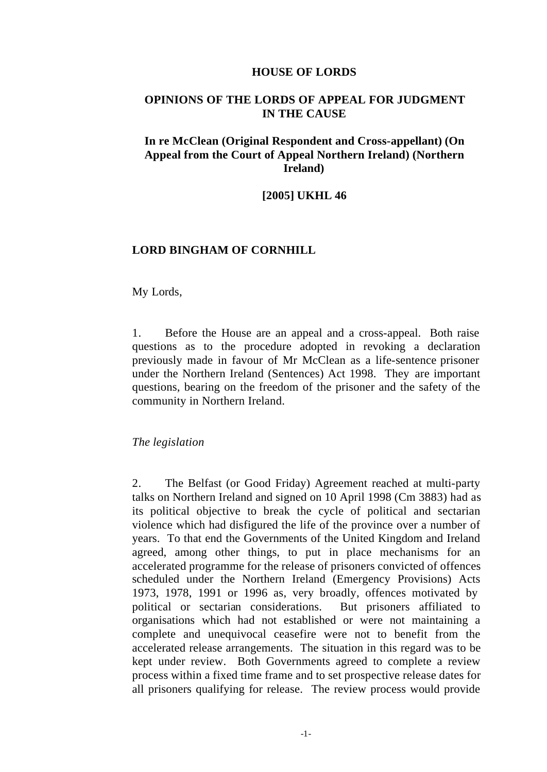#### **HOUSE OF LORDS**

#### **OPINIONS OF THE LORDS OF APPEAL FOR JUDGMENT IN THE CAUSE**

#### **In re McClean (Original Respondent and Cross-appellant) (On Appeal from the Court of Appeal Northern Ireland) (Northern Ireland)**

#### **[2005] UKHL 46**

#### **LORD BINGHAM OF CORNHILL**

My Lords,

1. Before the House are an appeal and a cross-appeal. Both raise questions as to the procedure adopted in revoking a declaration previously made in favour of Mr McClean as a life-sentence prisoner under the Northern Ireland (Sentences) Act 1998. They are important questions, bearing on the freedom of the prisoner and the safety of the community in Northern Ireland.

#### *The legislation*

2. The Belfast (or Good Friday) Agreement reached at multi-party talks on Northern Ireland and signed on 10 April 1998 (Cm 3883) had as its political objective to break the cycle of political and sectarian violence which had disfigured the life of the province over a number of years. To that end the Governments of the United Kingdom and Ireland agreed, among other things, to put in place mechanisms for an accelerated programme for the release of prisoners convicted of offences scheduled under the Northern Ireland (Emergency Provisions) Acts 1973, 1978, 1991 or 1996 as, very broadly, offences motivated by political or sectarian considerations. But prisoners affiliated to organisations which had not established or were not maintaining a complete and unequivocal ceasefire were not to benefit from the accelerated release arrangements. The situation in this regard was to be kept under review. Both Governments agreed to complete a review process within a fixed time frame and to set prospective release dates for all prisoners qualifying for release. The review process would provide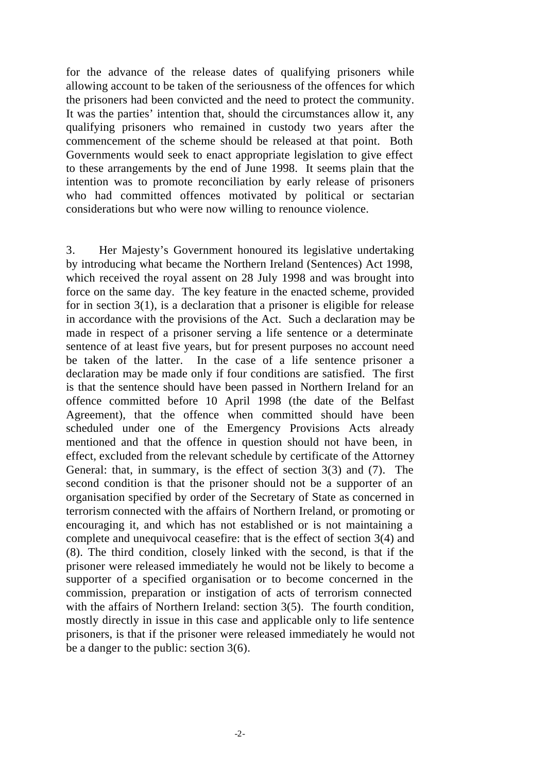for the advance of the release dates of qualifying prisoners while allowing account to be taken of the seriousness of the offences for which the prisoners had been convicted and the need to protect the community. It was the parties' intention that, should the circumstances allow it, any qualifying prisoners who remained in custody two years after the commencement of the scheme should be released at that point. Both Governments would seek to enact appropriate legislation to give effect to these arrangements by the end of June 1998. It seems plain that the intention was to promote reconciliation by early release of prisoners who had committed offences motivated by political or sectarian considerations but who were now willing to renounce violence.

3. Her Majesty's Government honoured its legislative undertaking by introducing what became the Northern Ireland (Sentences) Act 1998, which received the royal assent on 28 July 1998 and was brought into force on the same day. The key feature in the enacted scheme, provided for in section  $3(1)$ , is a declaration that a prisoner is eligible for release in accordance with the provisions of the Act. Such a declaration may be made in respect of a prisoner serving a life sentence or a determinate sentence of at least five years, but for present purposes no account need be taken of the latter. In the case of a life sentence prisoner a declaration may be made only if four conditions are satisfied. The first is that the sentence should have been passed in Northern Ireland for an offence committed before 10 April 1998 (the date of the Belfast Agreement), that the offence when committed should have been scheduled under one of the Emergency Provisions Acts already mentioned and that the offence in question should not have been, in effect, excluded from the relevant schedule by certificate of the Attorney General: that, in summary, is the effect of section 3(3) and (7). The second condition is that the prisoner should not be a supporter of an organisation specified by order of the Secretary of State as concerned in terrorism connected with the affairs of Northern Ireland, or promoting or encouraging it, and which has not established or is not maintaining a complete and unequivocal ceasefire: that is the effect of section 3(4) and (8). The third condition, closely linked with the second, is that if the prisoner were released immediately he would not be likely to become a supporter of a specified organisation or to become concerned in the commission, preparation or instigation of acts of terrorism connected with the affairs of Northern Ireland: section 3(5). The fourth condition, mostly directly in issue in this case and applicable only to life sentence prisoners, is that if the prisoner were released immediately he would not be a danger to the public: section 3(6).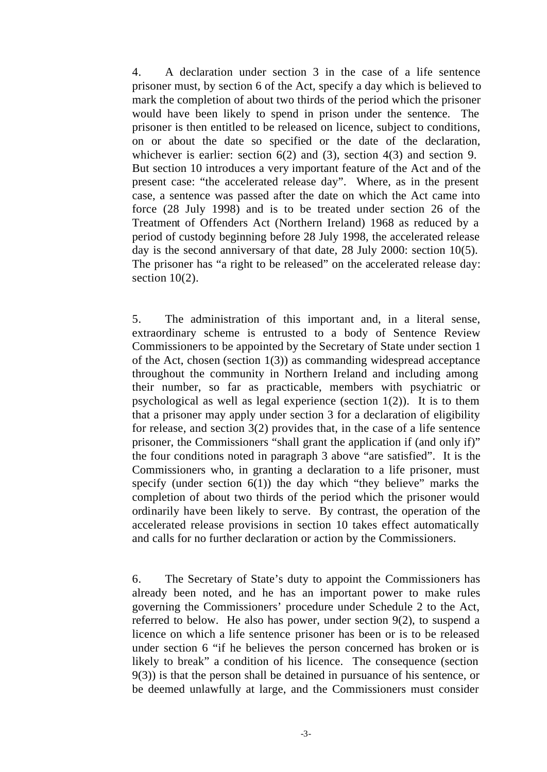4. A declaration under section 3 in the case of a life sentence prisoner must, by section 6 of the Act, specify a day which is believed to mark the completion of about two thirds of the period which the prisoner would have been likely to spend in prison under the sentence. The prisoner is then entitled to be released on licence, subject to conditions, on or about the date so specified or the date of the declaration, whichever is earlier: section 6(2) and (3), section 4(3) and section 9. But section 10 introduces a very important feature of the Act and of the present case: "the accelerated release day". Where, as in the present case, a sentence was passed after the date on which the Act came into force (28 July 1998) and is to be treated under section 26 of the Treatment of Offenders Act (Northern Ireland) 1968 as reduced by a period of custody beginning before 28 July 1998, the accelerated release day is the second anniversary of that date, 28 July 2000: section 10(5). The prisoner has "a right to be released" on the accelerated release day: section 10(2).

5. The administration of this important and, in a literal sense, extraordinary scheme is entrusted to a body of Sentence Review Commissioners to be appointed by the Secretary of State under section 1 of the Act, chosen (section 1(3)) as commanding widespread acceptance throughout the community in Northern Ireland and including among their number, so far as practicable, members with psychiatric or psychological as well as legal experience (section  $1(2)$ ). It is to them that a prisoner may apply under section 3 for a declaration of eligibility for release, and section 3(2) provides that, in the case of a life sentence prisoner, the Commissioners "shall grant the application if (and only if)" the four conditions noted in paragraph 3 above "are satisfied". It is the Commissioners who, in granting a declaration to a life prisoner, must specify (under section  $6(1)$ ) the day which "they believe" marks the completion of about two thirds of the period which the prisoner would ordinarily have been likely to serve. By contrast, the operation of the accelerated release provisions in section 10 takes effect automatically and calls for no further declaration or action by the Commissioners.

6. The Secretary of State's duty to appoint the Commissioners has already been noted, and he has an important power to make rules governing the Commissioners' procedure under Schedule 2 to the Act, referred to below. He also has power, under section 9(2), to suspend a licence on which a life sentence prisoner has been or is to be released under section 6 "if he believes the person concerned has broken or is likely to break" a condition of his licence. The consequence (section 9(3)) is that the person shall be detained in pursuance of his sentence, or be deemed unlawfully at large, and the Commissioners must consider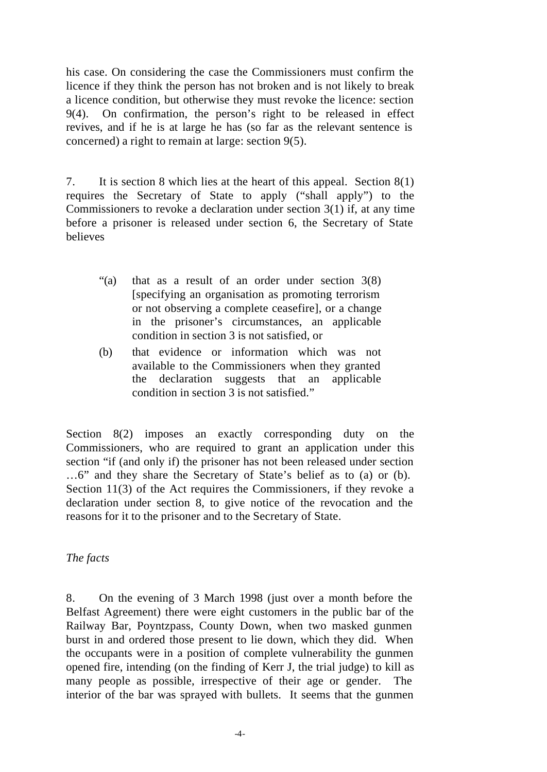his case. On considering the case the Commissioners must confirm the licence if they think the person has not broken and is not likely to break a licence condition, but otherwise they must revoke the licence: section 9(4). On confirmation, the person's right to be released in effect revives, and if he is at large he has (so far as the relevant sentence is concerned) a right to remain at large: section 9(5).

7. It is section 8 which lies at the heart of this appeal. Section 8(1) requires the Secretary of State to apply ("shall apply") to the Commissioners to revoke a declaration under section 3(1) if, at any time before a prisoner is released under section 6, the Secretary of State believes

- "(a) that as a result of an order under section 3(8) [specifying an organisation as promoting terrorism or not observing a complete ceasefire], or a change in the prisoner's circumstances, an applicable condition in section 3 is not satisfied, or
- (b) that evidence or information which was not available to the Commissioners when they granted the declaration suggests that an applicable condition in section 3 is not satisfied."

Section 8(2) imposes an exactly corresponding duty on the Commissioners, who are required to grant an application under this section "if (and only if) the prisoner has not been released under section …6" and they share the Secretary of State's belief as to (a) or (b). Section 11(3) of the Act requires the Commissioners, if they revoke a declaration under section 8, to give notice of the revocation and the reasons for it to the prisoner and to the Secretary of State.

#### *The facts*

8. On the evening of 3 March 1998 (just over a month before the Belfast Agreement) there were eight customers in the public bar of the Railway Bar, Poyntzpass, County Down, when two masked gunmen burst in and ordered those present to lie down, which they did. When the occupants were in a position of complete vulnerability the gunmen opened fire, intending (on the finding of Kerr J, the trial judge) to kill as many people as possible, irrespective of their age or gender. The interior of the bar was sprayed with bullets. It seems that the gunmen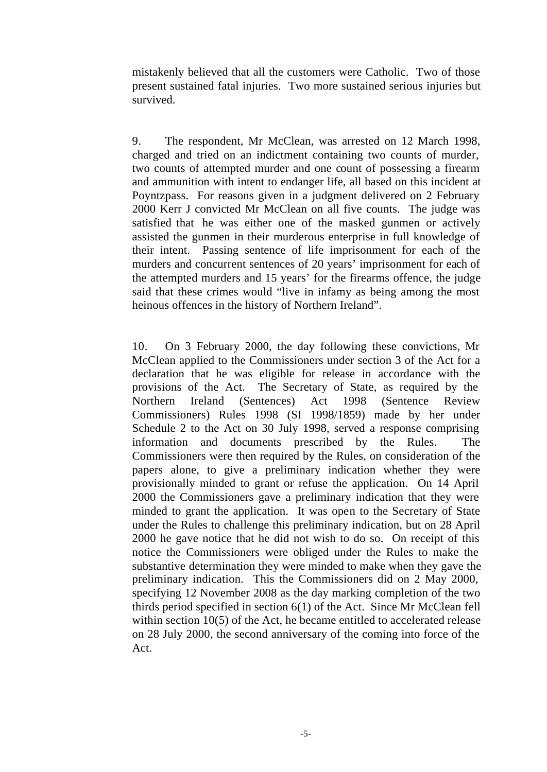mistakenly believed that all the customers were Catholic. Two of those present sustained fatal injuries. Two more sustained serious injuries but survived.

9. The respondent, Mr McClean, was arrested on 12 March 1998, charged and tried on an indictment containing two counts of murder, two counts of attempted murder and one count of possessing a firearm and ammunition with intent to endanger life, all based on this incident at Poyntzpass. For reasons given in a judgment delivered on 2 February 2000 Kerr J convicted Mr McClean on all five counts. The judge was satisfied that he was either one of the masked gunmen or actively assisted the gunmen in their murderous enterprise in full knowledge of their intent. Passing sentence of life imprisonment for each of the murders and concurrent sentences of 20 years' imprisonment for each of the attempted murders and 15 years' for the firearms offence, the judge said that these crimes would "live in infamy as being among the most heinous offences in the history of Northern Ireland".

10. On 3 February 2000, the day following these convictions, Mr McClean applied to the Commissioners under section 3 of the Act for a declaration that he was eligible for release in accordance with the provisions of the Act. The Secretary of State, as required by the Northern Ireland (Sentences) Act 1998 (Sentence Review Commissioners) Rules 1998 (SI 1998/1859) made by her under Schedule 2 to the Act on 30 July 1998, served a response comprising information and documents prescribed by the Rules. The Commissioners were then required by the Rules, on consideration of the papers alone, to give a preliminary indication whether they were provisionally minded to grant or refuse the application. On 14 April 2000 the Commissioners gave a preliminary indication that they were minded to grant the application. It was open to the Secretary of State under the Rules to challenge this preliminary indication, but on 28 April 2000 he gave notice that he did not wish to do so. On receipt of this notice the Commissioners were obliged under the Rules to make the substantive determination they were minded to make when they gave the preliminary indication. This the Commissioners did on 2 May 2000, specifying 12 November 2008 as the day marking completion of the two thirds period specified in section 6(1) of the Act. Since Mr McClean fell within section 10(5) of the Act, he became entitled to accelerated release on 28 July 2000, the second anniversary of the coming into force of the Act.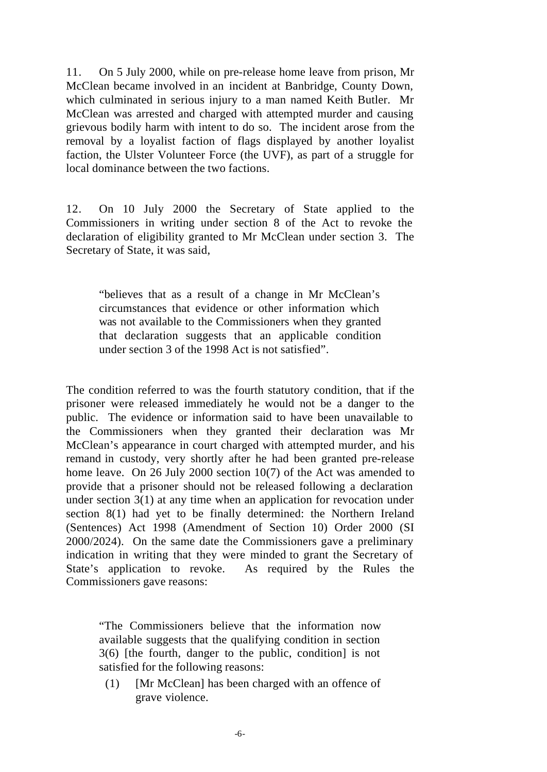11. On 5 July 2000, while on pre-release home leave from prison, Mr McClean became involved in an incident at Banbridge, County Down, which culminated in serious injury to a man named Keith Butler. Mr McClean was arrested and charged with attempted murder and causing grievous bodily harm with intent to do so. The incident arose from the removal by a loyalist faction of flags displayed by another loyalist faction, the Ulster Volunteer Force (the UVF), as part of a struggle for local dominance between the two factions.

12. On 10 July 2000 the Secretary of State applied to the Commissioners in writing under section 8 of the Act to revoke the declaration of eligibility granted to Mr McClean under section 3. The Secretary of State, it was said,

"believes that as a result of a change in Mr McClean's circumstances that evidence or other information which was not available to the Commissioners when they granted that declaration suggests that an applicable condition under section 3 of the 1998 Act is not satisfied".

The condition referred to was the fourth statutory condition, that if the prisoner were released immediately he would not be a danger to the public. The evidence or information said to have been unavailable to the Commissioners when they granted their declaration was Mr McClean's appearance in court charged with attempted murder, and his remand in custody, very shortly after he had been granted pre-release home leave. On 26 July 2000 section 10(7) of the Act was amended to provide that a prisoner should not be released following a declaration under section 3(1) at any time when an application for revocation under section 8(1) had yet to be finally determined: the Northern Ireland (Sentences) Act 1998 (Amendment of Section 10) Order 2000 (SI 2000/2024). On the same date the Commissioners gave a preliminary indication in writing that they were minded to grant the Secretary of State's application to revoke. As required by the Rules the Commissioners gave reasons:

"The Commissioners believe that the information now available suggests that the qualifying condition in section 3(6) [the fourth, danger to the public, condition] is not satisfied for the following reasons:

(1) [Mr McClean] has been charged with an offence of grave violence.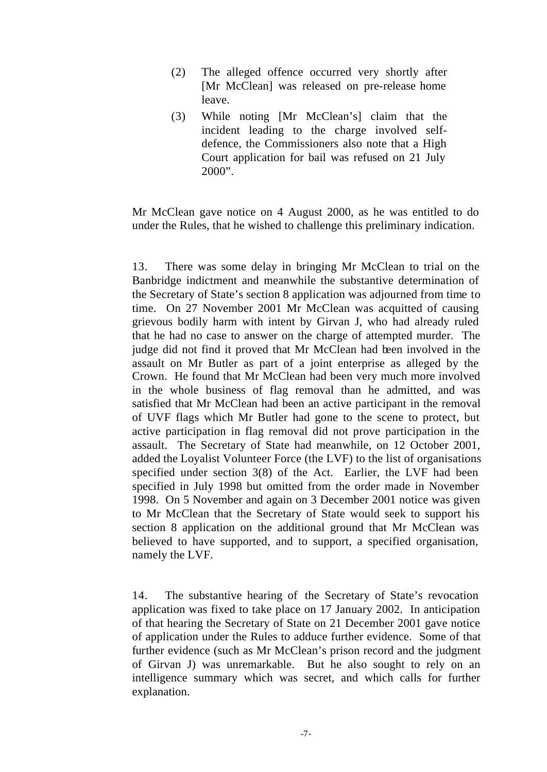- (2) The alleged offence occurred very shortly after [Mr McClean] was released on pre-release home leave.
- (3) While noting [Mr McClean's] claim that the incident leading to the charge involved selfdefence, the Commissioners also note that a High Court application for bail was refused on 21 July 2000".

Mr McClean gave notice on 4 August 2000, as he was entitled to do under the Rules, that he wished to challenge this preliminary indication.

13. There was some delay in bringing Mr McClean to trial on the Banbridge indictment and meanwhile the substantive determination of the Secretary of State's section 8 application was adjourned from time to time. On 27 November 2001 Mr McClean was acquitted of causing grievous bodily harm with intent by Girvan J, who had already ruled that he had no case to answer on the charge of attempted murder. The judge did not find it proved that Mr McClean had been involved in the assault on Mr Butler as part of a joint enterprise as alleged by the Crown. He found that Mr McClean had been very much more involved in the whole business of flag removal than he admitted, and was satisfied that Mr McClean had been an active participant in the removal of UVF flags which Mr Butler had gone to the scene to protect, but active participation in flag removal did not prove participation in the assault. The Secretary of State had meanwhile, on 12 October 2001, added the Loyalist Volunteer Force (the LVF) to the list of organisations specified under section 3(8) of the Act. Earlier, the LVF had been specified in July 1998 but omitted from the order made in November 1998. On 5 November and again on 3 December 2001 notice was given to Mr McClean that the Secretary of State would seek to support his section 8 application on the additional ground that Mr McClean was believed to have supported, and to support, a specified organisation, namely the LVF.

14. The substantive hearing of the Secretary of State's revocation application was fixed to take place on 17 January 2002. In anticipation of that hearing the Secretary of State on 21 December 2001 gave notice of application under the Rules to adduce further evidence. Some of that further evidence (such as Mr McClean's prison record and the judgment of Girvan J) was unremarkable. But he also sought to rely on an intelligence summary which was secret, and which calls for further explanation.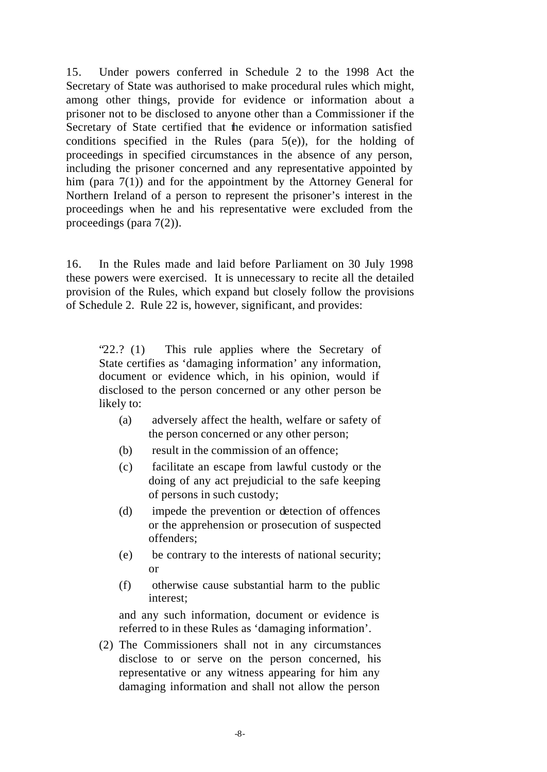15. Under powers conferred in Schedule 2 to the 1998 Act the Secretary of State was authorised to make procedural rules which might, among other things, provide for evidence or information about a prisoner not to be disclosed to anyone other than a Commissioner if the Secretary of State certified that the evidence or information satisfied conditions specified in the Rules (para 5(e)), for the holding of proceedings in specified circumstances in the absence of any person, including the prisoner concerned and any representative appointed by him (para 7(1)) and for the appointment by the Attorney General for Northern Ireland of a person to represent the prisoner's interest in the proceedings when he and his representative were excluded from the proceedings (para 7(2)).

16. In the Rules made and laid before Parliament on 30 July 1998 these powers were exercised. It is unnecessary to recite all the detailed provision of the Rules, which expand but closely follow the provisions of Schedule 2. Rule 22 is, however, significant, and provides:

"22.? (1) This rule applies where the Secretary of State certifies as 'damaging information' any information, document or evidence which, in his opinion, would if disclosed to the person concerned or any other person be likely to:

- (a) adversely affect the health, welfare or safety of the person concerned or any other person;
- (b) result in the commission of an offence;
- (c) facilitate an escape from lawful custody or the doing of any act prejudicial to the safe keeping of persons in such custody;
- (d) impede the prevention or detection of offences or the apprehension or prosecution of suspected offenders;
- (e) be contrary to the interests of national security; or
- (f) otherwise cause substantial harm to the public interest;

and any such information, document or evidence is referred to in these Rules as 'damaging information'.

(2) The Commissioners shall not in any circumstances disclose to or serve on the person concerned, his representative or any witness appearing for him any damaging information and shall not allow the person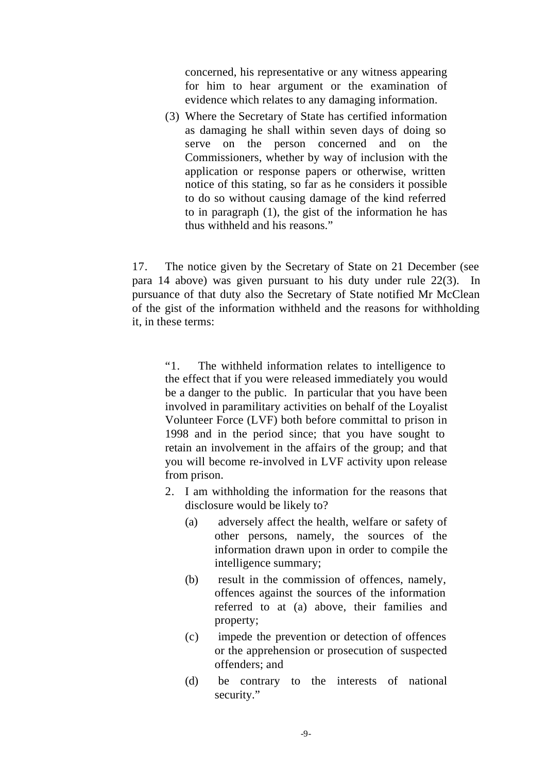concerned, his representative or any witness appearing for him to hear argument or the examination of evidence which relates to any damaging information.

(3) Where the Secretary of State has certified information as damaging he shall within seven days of doing so serve on the person concerned and on the Commissioners, whether by way of inclusion with the application or response papers or otherwise, written notice of this stating, so far as he considers it possible to do so without causing damage of the kind referred to in paragraph (1), the gist of the information he has thus withheld and his reasons."

17. The notice given by the Secretary of State on 21 December (see para 14 above) was given pursuant to his duty under rule 22(3). In pursuance of that duty also the Secretary of State notified Mr McClean of the gist of the information withheld and the reasons for withholding it, in these terms:

"1. The withheld information relates to intelligence to the effect that if you were released immediately you would be a danger to the public. In particular that you have been involved in paramilitary activities on behalf of the Loyalist Volunteer Force (LVF) both before committal to prison in 1998 and in the period since; that you have sought to retain an involvement in the affairs of the group; and that you will become re-involved in LVF activity upon release from prison.

- 2. I am withholding the information for the reasons that disclosure would be likely to?
	- (a) adversely affect the health, welfare or safety of other persons, namely, the sources of the information drawn upon in order to compile the intelligence summary;
	- (b) result in the commission of offences, namely, offences against the sources of the information referred to at (a) above, their families and property;
	- (c) impede the prevention or detection of offences or the apprehension or prosecution of suspected offenders; and
	- (d) be contrary to the interests of national security."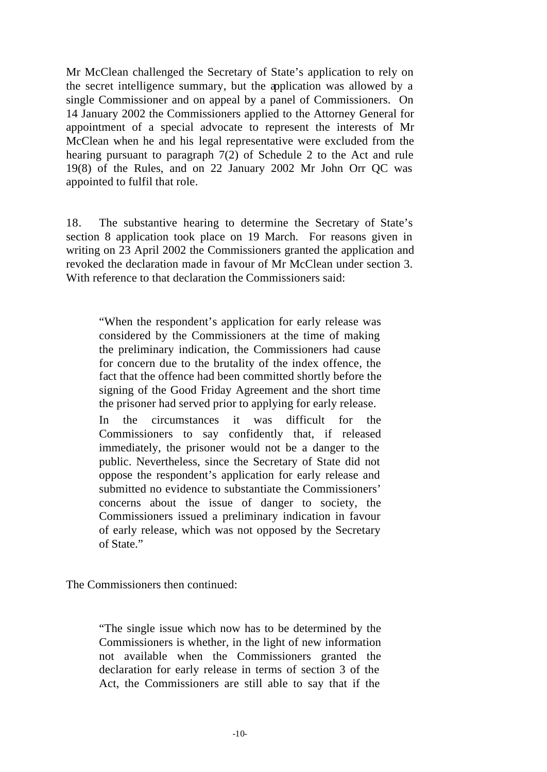Mr McClean challenged the Secretary of State's application to rely on the secret intelligence summary, but the application was allowed by a single Commissioner and on appeal by a panel of Commissioners. On 14 January 2002 the Commissioners applied to the Attorney General for appointment of a special advocate to represent the interests of Mr McClean when he and his legal representative were excluded from the hearing pursuant to paragraph 7(2) of Schedule 2 to the Act and rule 19(8) of the Rules, and on 22 January 2002 Mr John Orr QC was appointed to fulfil that role.

18. The substantive hearing to determine the Secretary of State's section 8 application took place on 19 March. For reasons given in writing on 23 April 2002 the Commissioners granted the application and revoked the declaration made in favour of Mr McClean under section 3. With reference to that declaration the Commissioners said:

"When the respondent's application for early release was considered by the Commissioners at the time of making the preliminary indication, the Commissioners had cause for concern due to the brutality of the index offence, the fact that the offence had been committed shortly before the signing of the Good Friday Agreement and the short time the prisoner had served prior to applying for early release.

In the circumstances it was difficult for the Commissioners to say confidently that, if released immediately, the prisoner would not be a danger to the public. Nevertheless, since the Secretary of State did not oppose the respondent's application for early release and submitted no evidence to substantiate the Commissioners' concerns about the issue of danger to society, the Commissioners issued a preliminary indication in favour of early release, which was not opposed by the Secretary of State."

The Commissioners then continued:

"The single issue which now has to be determined by the Commissioners is whether, in the light of new information not available when the Commissioners granted the declaration for early release in terms of section 3 of the Act, the Commissioners are still able to say that if the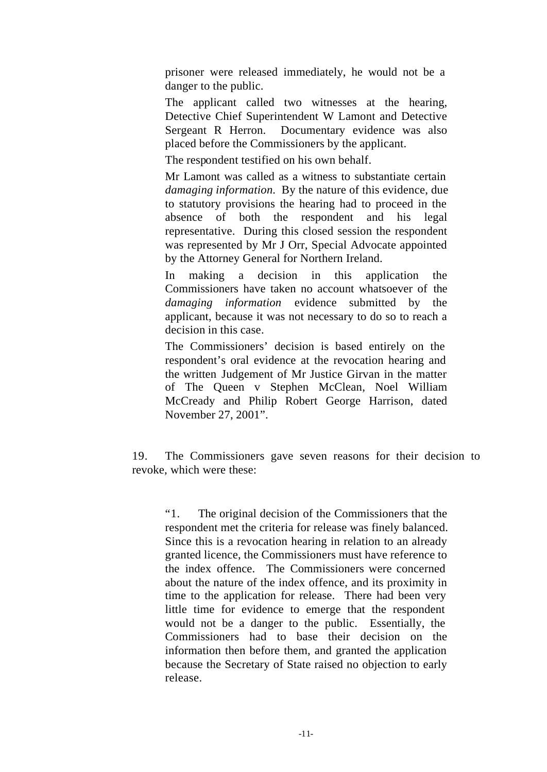prisoner were released immediately, he would not be a danger to the public.

The applicant called two witnesses at the hearing, Detective Chief Superintendent W Lamont and Detective Sergeant R Herron. Documentary evidence was also placed before the Commissioners by the applicant.

The respondent testified on his own behalf.

Mr Lamont was called as a witness to substantiate certain *damaging information.* By the nature of this evidence, due to statutory provisions the hearing had to proceed in the absence of both the respondent and his legal representative. During this closed session the respondent was represented by Mr J Orr, Special Advocate appointed by the Attorney General for Northern Ireland.

In making a decision in this application the Commissioners have taken no account whatsoever of the *damaging information* evidence submitted by the applicant, because it was not necessary to do so to reach a decision in this case.

The Commissioners' decision is based entirely on the respondent's oral evidence at the revocation hearing and the written Judgement of Mr Justice Girvan in the matter of The Queen v Stephen McClean, Noel William McCready and Philip Robert George Harrison, dated November 27, 2001".

19. The Commissioners gave seven reasons for their decision to revoke, which were these:

"1. The original decision of the Commissioners that the respondent met the criteria for release was finely balanced. Since this is a revocation hearing in relation to an already granted licence, the Commissioners must have reference to the index offence. The Commissioners were concerned about the nature of the index offence, and its proximity in time to the application for release. There had been very little time for evidence to emerge that the respondent would not be a danger to the public. Essentially, the Commissioners had to base their decision on the information then before them, and granted the application because the Secretary of State raised no objection to early release.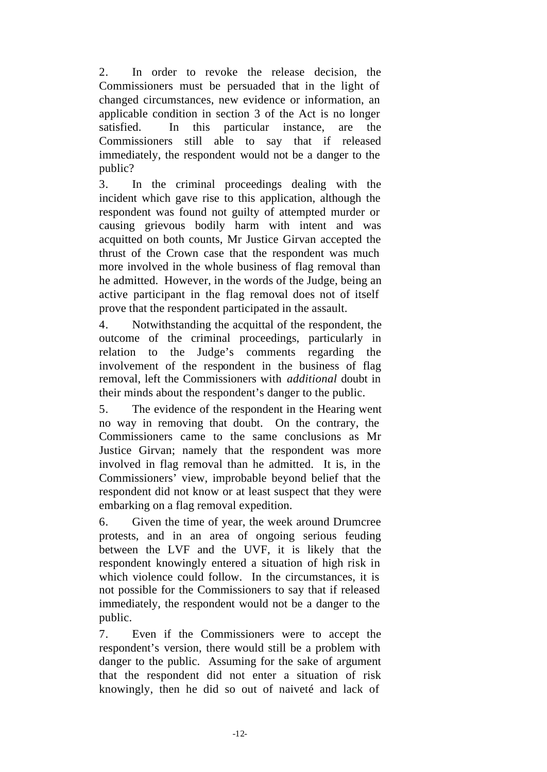2. In order to revoke the release decision, the Commissioners must be persuaded that in the light of changed circumstances, new evidence or information, an applicable condition in section 3 of the Act is no longer satisfied. In this particular instance, are the Commissioners still able to say that if released immediately, the respondent would not be a danger to the public?

3. In the criminal proceedings dealing with the incident which gave rise to this application, although the respondent was found not guilty of attempted murder or causing grievous bodily harm with intent and was acquitted on both counts, Mr Justice Girvan accepted the thrust of the Crown case that the respondent was much more involved in the whole business of flag removal than he admitted. However, in the words of the Judge, being an active participant in the flag removal does not of itself prove that the respondent participated in the assault.

4. Notwithstanding the acquittal of the respondent, the outcome of the criminal proceedings, particularly in relation to the Judge's comments regarding the involvement of the respondent in the business of flag removal, left the Commissioners with *additional* doubt in their minds about the respondent's danger to the public.

5. The evidence of the respondent in the Hearing went no way in removing that doubt. On the contrary, the Commissioners came to the same conclusions as Mr Justice Girvan; namely that the respondent was more involved in flag removal than he admitted. It is, in the Commissioners' view, improbable beyond belief that the respondent did not know or at least suspect that they were embarking on a flag removal expedition.

6. Given the time of year, the week around Drumcree protests, and in an area of ongoing serious feuding between the LVF and the UVF, it is likely that the respondent knowingly entered a situation of high risk in which violence could follow. In the circumstances, it is not possible for the Commissioners to say that if released immediately, the respondent would not be a danger to the public.

7. Even if the Commissioners were to accept the respondent's version, there would still be a problem with danger to the public. Assuming for the sake of argument that the respondent did not enter a situation of risk knowingly, then he did so out of naiveté and lack of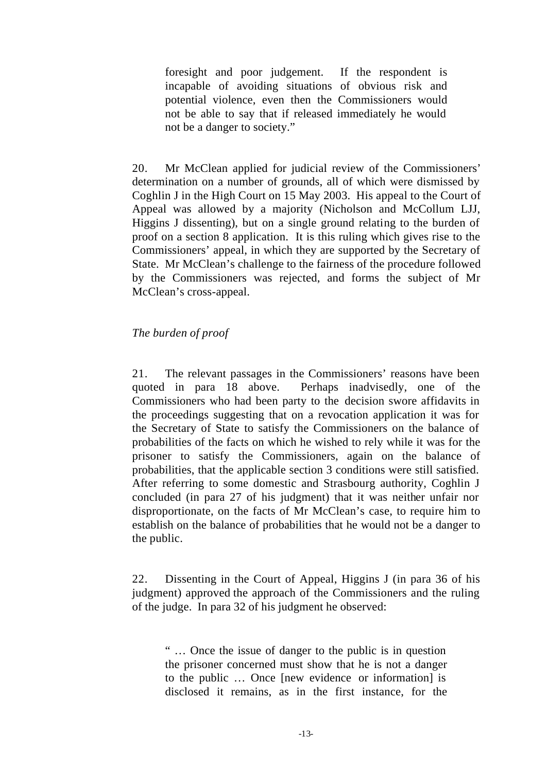foresight and poor judgement. If the respondent is incapable of avoiding situations of obvious risk and potential violence, even then the Commissioners would not be able to say that if released immediately he would not be a danger to society."

20. Mr McClean applied for judicial review of the Commissioners' determination on a number of grounds, all of which were dismissed by Coghlin J in the High Court on 15 May 2003. His appeal to the Court of Appeal was allowed by a majority (Nicholson and McCollum LJJ, Higgins J dissenting), but on a single ground relating to the burden of proof on a section 8 application. It is this ruling which gives rise to the Commissioners' appeal, in which they are supported by the Secretary of State. Mr McClean's challenge to the fairness of the procedure followed by the Commissioners was rejected, and forms the subject of Mr McClean's cross-appeal.

#### *The burden of proof*

21. The relevant passages in the Commissioners' reasons have been quoted in para 18 above. Perhaps inadvisedly, one of the Commissioners who had been party to the decision swore affidavits in the proceedings suggesting that on a revocation application it was for the Secretary of State to satisfy the Commissioners on the balance of probabilities of the facts on which he wished to rely while it was for the prisoner to satisfy the Commissioners, again on the balance of probabilities, that the applicable section 3 conditions were still satisfied. After referring to some domestic and Strasbourg authority, Coghlin J concluded (in para 27 of his judgment) that it was neither unfair nor disproportionate, on the facts of Mr McClean's case, to require him to establish on the balance of probabilities that he would not be a danger to the public.

22. Dissenting in the Court of Appeal, Higgins J (in para 36 of his judgment) approved the approach of the Commissioners and the ruling of the judge. In para 32 of his judgment he observed:

" … Once the issue of danger to the public is in question the prisoner concerned must show that he is not a danger to the public … Once [new evidence or information] is disclosed it remains, as in the first instance, for the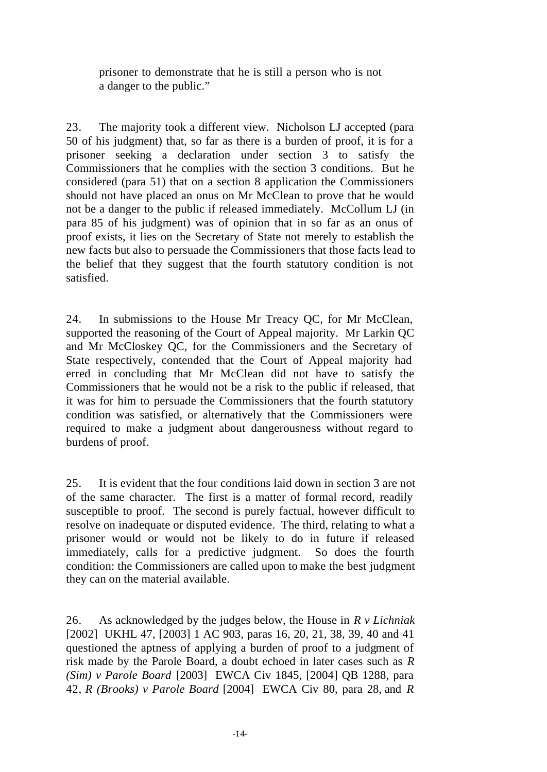prisoner to demonstrate that he is still a person who is not a danger to the public."

23. The majority took a different view. Nicholson LJ accepted (para 50 of his judgment) that, so far as there is a burden of proof, it is for a prisoner seeking a declaration under section 3 to satisfy the Commissioners that he complies with the section 3 conditions. But he considered (para 51) that on a section 8 application the Commissioners should not have placed an onus on Mr McClean to prove that he would not be a danger to the public if released immediately. McCollum LJ (in para 85 of his judgment) was of opinion that in so far as an onus of proof exists, it lies on the Secretary of State not merely to establish the new facts but also to persuade the Commissioners that those facts lead to the belief that they suggest that the fourth statutory condition is not satisfied.

24. In submissions to the House Mr Treacy QC, for Mr McClean, supported the reasoning of the Court of Appeal majority. Mr Larkin QC and Mr McCloskey QC, for the Commissioners and the Secretary of State respectively, contended that the Court of Appeal majority had erred in concluding that Mr McClean did not have to satisfy the Commissioners that he would not be a risk to the public if released, that it was for him to persuade the Commissioners that the fourth statutory condition was satisfied, or alternatively that the Commissioners were required to make a judgment about dangerousness without regard to burdens of proof.

25. It is evident that the four conditions laid down in section 3 are not of the same character. The first is a matter of formal record, readily susceptible to proof. The second is purely factual, however difficult to resolve on inadequate or disputed evidence. The third, relating to what a prisoner would or would not be likely to do in future if released immediately, calls for a predictive judgment. So does the fourth condition: the Commissioners are called upon to make the best judgment they can on the material available.

26. As acknowledged by the judges below, the House in *R v Lichniak* [2002] UKHL 47, [2003] 1 AC 903, paras 16, 20, 21, 38, 39, 40 and 41 questioned the aptness of applying a burden of proof to a judgment of risk made by the Parole Board, a doubt echoed in later cases such as *R (Sim) v Parole Board* [2003] EWCA Civ 1845, [2004] QB 1288, para 42, *R (Brooks) v Parole Board* [2004] EWCA Civ 80, para 28, and *R*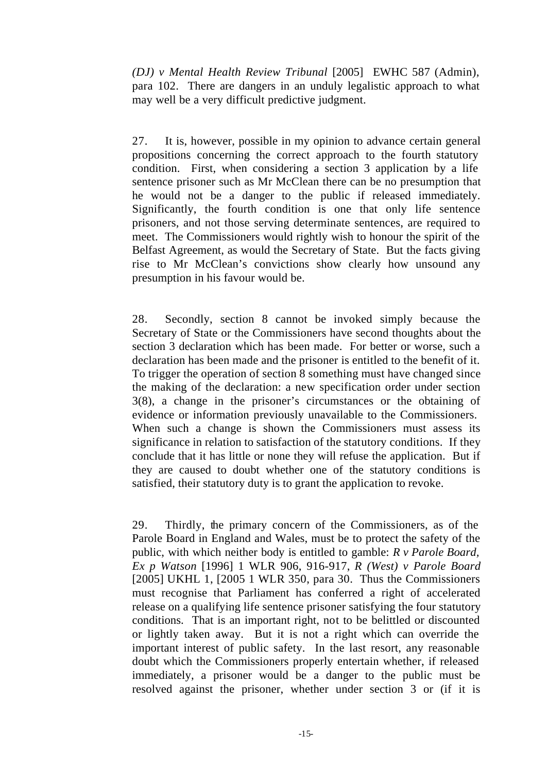*(DJ) v Mental Health Review Tribunal* [2005] EWHC 587 (Admin), para 102. There are dangers in an unduly legalistic approach to what may well be a very difficult predictive judgment.

27. It is, however, possible in my opinion to advance certain general propositions concerning the correct approach to the fourth statutory condition. First, when considering a section 3 application by a life sentence prisoner such as Mr McClean there can be no presumption that he would not be a danger to the public if released immediately. Significantly, the fourth condition is one that only life sentence prisoners, and not those serving determinate sentences, are required to meet. The Commissioners would rightly wish to honour the spirit of the Belfast Agreement, as would the Secretary of State. But the facts giving rise to Mr McClean's convictions show clearly how unsound any presumption in his favour would be.

28. Secondly, section 8 cannot be invoked simply because the Secretary of State or the Commissioners have second thoughts about the section 3 declaration which has been made. For better or worse, such a declaration has been made and the prisoner is entitled to the benefit of it. To trigger the operation of section 8 something must have changed since the making of the declaration: a new specification order under section 3(8), a change in the prisoner's circumstances or the obtaining of evidence or information previously unavailable to the Commissioners. When such a change is shown the Commissioners must assess its significance in relation to satisfaction of the statutory conditions. If they conclude that it has little or none they will refuse the application. But if they are caused to doubt whether one of the statutory conditions is satisfied, their statutory duty is to grant the application to revoke.

29. Thirdly, the primary concern of the Commissioners, as of the Parole Board in England and Wales, must be to protect the safety of the public, with which neither body is entitled to gamble: *R v Parole Board, Ex p Watson* [1996] 1 WLR 906, 916-917, *R (West) v Parole Board* [2005] UKHL 1, [2005 1 WLR 350, para 30. Thus the Commissioners must recognise that Parliament has conferred a right of accelerated release on a qualifying life sentence prisoner satisfying the four statutory conditions. That is an important right, not to be belittled or discounted or lightly taken away. But it is not a right which can override the important interest of public safety. In the last resort, any reasonable doubt which the Commissioners properly entertain whether, if released immediately, a prisoner would be a danger to the public must be resolved against the prisoner, whether under section 3 or (if it is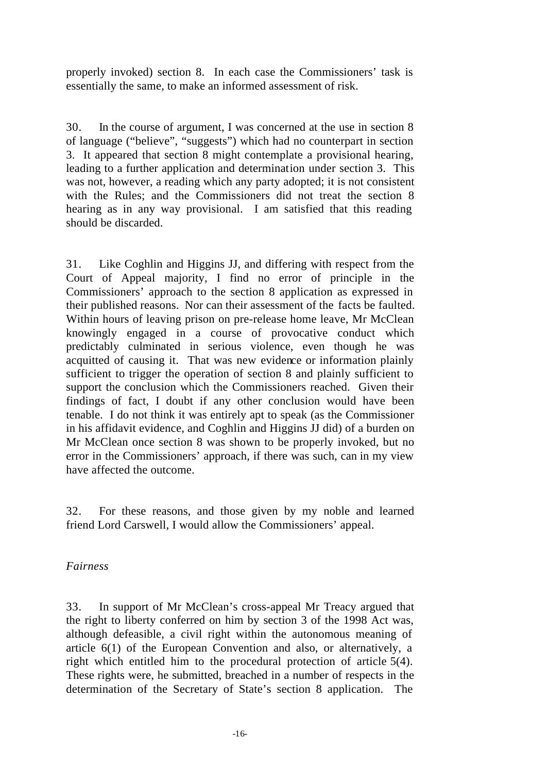properly invoked) section 8. In each case the Commissioners' task is essentially the same, to make an informed assessment of risk.

30. In the course of argument, I was concerned at the use in section 8 of language ("believe", "suggests") which had no counterpart in section 3. It appeared that section 8 might contemplate a provisional hearing, leading to a further application and determination under section 3. This was not, however, a reading which any party adopted; it is not consistent with the Rules; and the Commissioners did not treat the section 8 hearing as in any way provisional. I am satisfied that this reading should be discarded.

31. Like Coghlin and Higgins JJ, and differing with respect from the Court of Appeal majority, I find no error of principle in the Commissioners' approach to the section 8 application as expressed in their published reasons. Nor can their assessment of the facts be faulted. Within hours of leaving prison on pre-release home leave, Mr McClean knowingly engaged in a course of provocative conduct which predictably culminated in serious violence, even though he was acquitted of causing it. That was new evidence or information plainly sufficient to trigger the operation of section 8 and plainly sufficient to support the conclusion which the Commissioners reached. Given their findings of fact, I doubt if any other conclusion would have been tenable. I do not think it was entirely apt to speak (as the Commissioner in his affidavit evidence, and Coghlin and Higgins JJ did) of a burden on Mr McClean once section 8 was shown to be properly invoked, but no error in the Commissioners' approach, if there was such, can in my view have affected the outcome.

32. For these reasons, and those given by my noble and learned friend Lord Carswell, I would allow the Commissioners' appeal.

#### *Fairness*

33. In support of Mr McClean's cross-appeal Mr Treacy argued that the right to liberty conferred on him by section 3 of the 1998 Act was, although defeasible, a civil right within the autonomous meaning of article 6(1) of the European Convention and also, or alternatively, a right which entitled him to the procedural protection of article 5(4). These rights were, he submitted, breached in a number of respects in the determination of the Secretary of State's section 8 application. The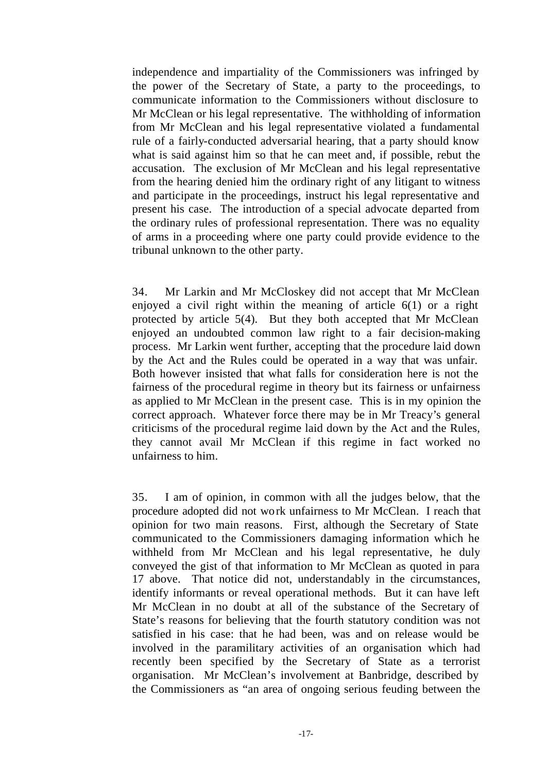independence and impartiality of the Commissioners was infringed by the power of the Secretary of State, a party to the proceedings, to communicate information to the Commissioners without disclosure to Mr McClean or his legal representative. The withholding of information from Mr McClean and his legal representative violated a fundamental rule of a fairly-conducted adversarial hearing, that a party should know what is said against him so that he can meet and, if possible, rebut the accusation. The exclusion of Mr McClean and his legal representative from the hearing denied him the ordinary right of any litigant to witness and participate in the proceedings, instruct his legal representative and present his case. The introduction of a special advocate departed from the ordinary rules of professional representation. There was no equality of arms in a proceeding where one party could provide evidence to the tribunal unknown to the other party.

34. Mr Larkin and Mr McCloskey did not accept that Mr McClean enjoyed a civil right within the meaning of article 6(1) or a right protected by article 5(4). But they both accepted that Mr McClean enjoyed an undoubted common law right to a fair decision-making process. Mr Larkin went further, accepting that the procedure laid down by the Act and the Rules could be operated in a way that was unfair. Both however insisted that what falls for consideration here is not the fairness of the procedural regime in theory but its fairness or unfairness as applied to Mr McClean in the present case. This is in my opinion the correct approach. Whatever force there may be in Mr Treacy's general criticisms of the procedural regime laid down by the Act and the Rules, they cannot avail Mr McClean if this regime in fact worked no unfairness to him.

35. I am of opinion, in common with all the judges below, that the procedure adopted did not work unfairness to Mr McClean. I reach that opinion for two main reasons. First, although the Secretary of State communicated to the Commissioners damaging information which he withheld from Mr McClean and his legal representative, he duly conveyed the gist of that information to Mr McClean as quoted in para 17 above. That notice did not, understandably in the circumstances, identify informants or reveal operational methods. But it can have left Mr McClean in no doubt at all of the substance of the Secretary of State's reasons for believing that the fourth statutory condition was not satisfied in his case: that he had been, was and on release would be involved in the paramilitary activities of an organisation which had recently been specified by the Secretary of State as a terrorist organisation. Mr McClean's involvement at Banbridge, described by the Commissioners as "an area of ongoing serious feuding between the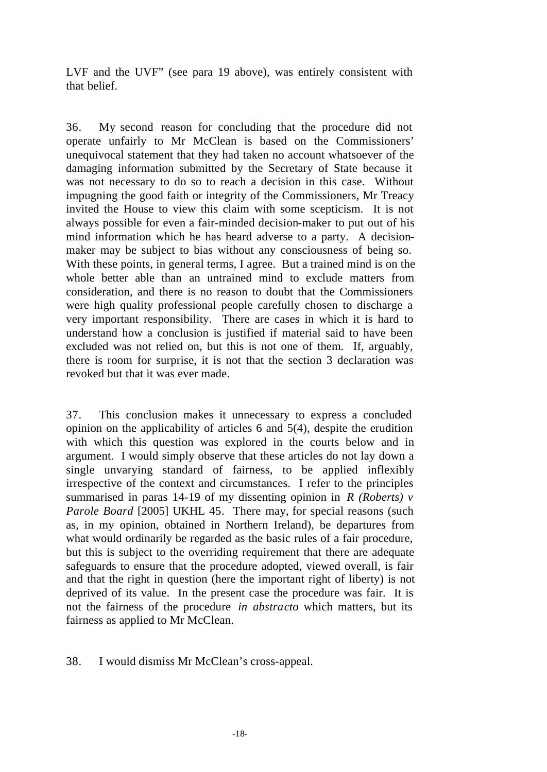LVF and the UVF" (see para 19 above), was entirely consistent with that belief.

36. My second reason for concluding that the procedure did not operate unfairly to Mr McClean is based on the Commissioners' unequivocal statement that they had taken no account whatsoever of the damaging information submitted by the Secretary of State because it was not necessary to do so to reach a decision in this case. Without impugning the good faith or integrity of the Commissioners, Mr Treacy invited the House to view this claim with some scepticism. It is not always possible for even a fair-minded decision-maker to put out of his mind information which he has heard adverse to a party. A decisionmaker may be subject to bias without any consciousness of being so. With these points, in general terms, I agree. But a trained mind is on the whole better able than an untrained mind to exclude matters from consideration, and there is no reason to doubt that the Commissioners were high quality professional people carefully chosen to discharge a very important responsibility. There are cases in which it is hard to understand how a conclusion is justified if material said to have been excluded was not relied on, but this is not one of them. If, arguably, there is room for surprise, it is not that the section 3 declaration was revoked but that it was ever made.

37. This conclusion makes it unnecessary to express a concluded opinion on the applicability of articles 6 and 5(4), despite the erudition with which this question was explored in the courts below and in argument. I would simply observe that these articles do not lay down a single unvarying standard of fairness, to be applied inflexibly irrespective of the context and circumstances. I refer to the principles summarised in paras 14-19 of my dissenting opinion in *R (Roberts) v Parole Board* [2005] UKHL 45. There may, for special reasons (such as, in my opinion, obtained in Northern Ireland), be departures from what would ordinarily be regarded as the basic rules of a fair procedure, but this is subject to the overriding requirement that there are adequate safeguards to ensure that the procedure adopted, viewed overall, is fair and that the right in question (here the important right of liberty) is not deprived of its value. In the present case the procedure was fair. It is not the fairness of the procedure *in abstracto* which matters, but its fairness as applied to Mr McClean.

38. I would dismiss Mr McClean's cross-appeal.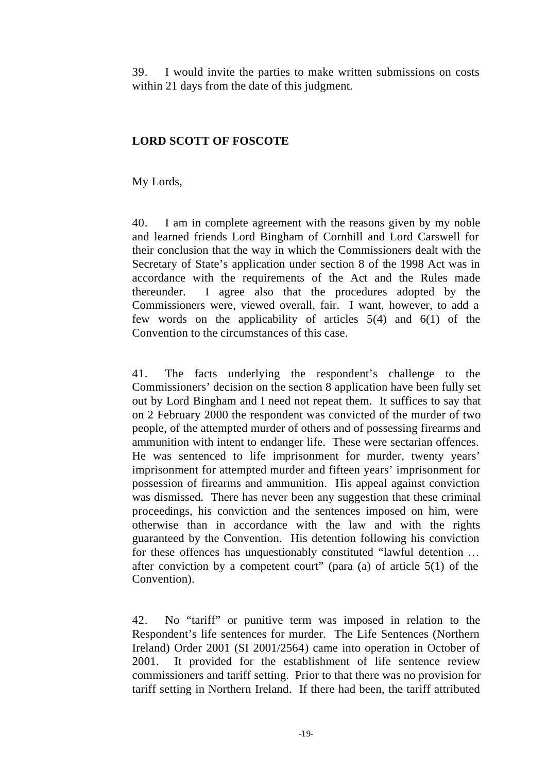39. I would invite the parties to make written submissions on costs within 21 days from the date of this judgment.

#### **LORD SCOTT OF FOSCOTE**

My Lords,

40. I am in complete agreement with the reasons given by my noble and learned friends Lord Bingham of Cornhill and Lord Carswell for their conclusion that the way in which the Commissioners dealt with the Secretary of State's application under section 8 of the 1998 Act was in accordance with the requirements of the Act and the Rules made thereunder. I agree also that the procedures adopted by the Commissioners were, viewed overall, fair. I want, however, to add a few words on the applicability of articles 5(4) and 6(1) of the Convention to the circumstances of this case.

41. The facts underlying the respondent's challenge to the Commissioners' decision on the section 8 application have been fully set out by Lord Bingham and I need not repeat them. It suffices to say that on 2 February 2000 the respondent was convicted of the murder of two people, of the attempted murder of others and of possessing firearms and ammunition with intent to endanger life. These were sectarian offences. He was sentenced to life imprisonment for murder, twenty years' imprisonment for attempted murder and fifteen years' imprisonment for possession of firearms and ammunition. His appeal against conviction was dismissed. There has never been any suggestion that these criminal proceedings, his conviction and the sentences imposed on him, were otherwise than in accordance with the law and with the rights guaranteed by the Convention. His detention following his conviction for these offences has unquestionably constituted "lawful detention … after conviction by a competent court" (para (a) of article  $5(1)$  of the Convention).

42. No "tariff" or punitive term was imposed in relation to the Respondent's life sentences for murder. The Life Sentences (Northern Ireland) Order 2001 (SI 2001/2564) came into operation in October of 2001. It provided for the establishment of life sentence review commissioners and tariff setting. Prior to that there was no provision for tariff setting in Northern Ireland. If there had been, the tariff attributed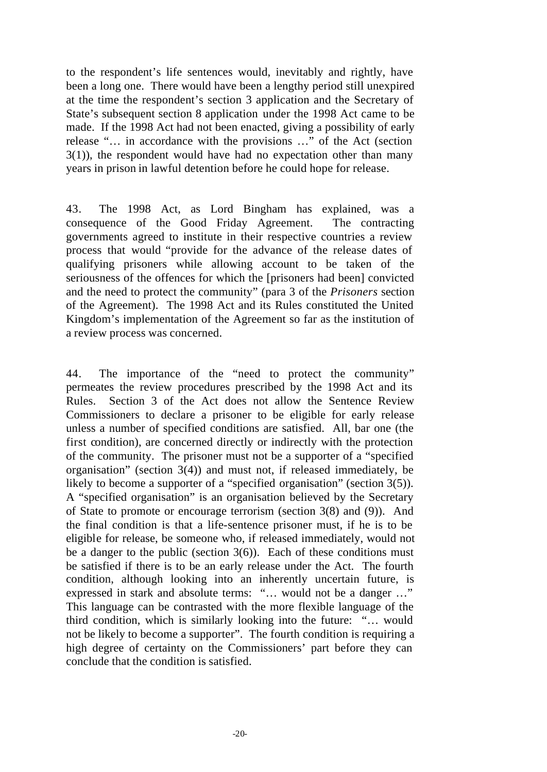to the respondent's life sentences would, inevitably and rightly, have been a long one. There would have been a lengthy period still unexpired at the time the respondent's section 3 application and the Secretary of State's subsequent section 8 application under the 1998 Act came to be made. If the 1998 Act had not been enacted, giving a possibility of early release "… in accordance with the provisions …" of the Act (section 3(1)), the respondent would have had no expectation other than many years in prison in lawful detention before he could hope for release.

43. The 1998 Act, as Lord Bingham has explained, was a consequence of the Good Friday Agreement. The contracting governments agreed to institute in their respective countries a review process that would "provide for the advance of the release dates of qualifying prisoners while allowing account to be taken of the seriousness of the offences for which the [prisoners had been] convicted and the need to protect the community" (para 3 of the *Prisoners* section of the Agreement). The 1998 Act and its Rules constituted the United Kingdom's implementation of the Agreement so far as the institution of a review process was concerned.

44. The importance of the "need to protect the community" permeates the review procedures prescribed by the 1998 Act and its Rules. Section 3 of the Act does not allow the Sentence Review Commissioners to declare a prisoner to be eligible for early release unless a number of specified conditions are satisfied. All, bar one (the first condition), are concerned directly or indirectly with the protection of the community. The prisoner must not be a supporter of a "specified organisation" (section 3(4)) and must not, if released immediately, be likely to become a supporter of a "specified organisation" (section 3(5)). A "specified organisation" is an organisation believed by the Secretary of State to promote or encourage terrorism (section 3(8) and (9)). And the final condition is that a life-sentence prisoner must, if he is to be eligible for release, be someone who, if released immediately, would not be a danger to the public (section  $3(6)$ ). Each of these conditions must be satisfied if there is to be an early release under the Act. The fourth condition, although looking into an inherently uncertain future, is expressed in stark and absolute terms: "… would not be a danger …" This language can be contrasted with the more flexible language of the third condition, which is similarly looking into the future: "… would not be likely to become a supporter". The fourth condition is requiring a high degree of certainty on the Commissioners' part before they can conclude that the condition is satisfied.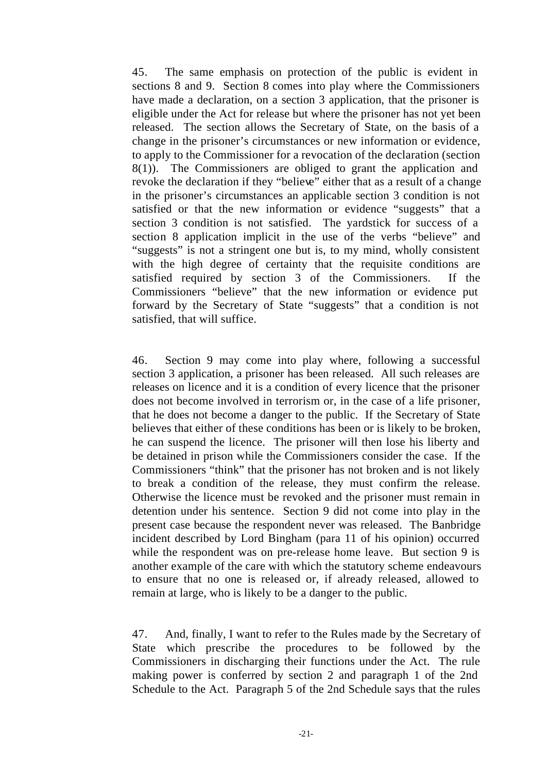45. The same emphasis on protection of the public is evident in sections 8 and 9. Section 8 comes into play where the Commissioners have made a declaration, on a section 3 application, that the prisoner is eligible under the Act for release but where the prisoner has not yet been released. The section allows the Secretary of State, on the basis of a change in the prisoner's circumstances or new information or evidence, to apply to the Commissioner for a revocation of the declaration (section 8(1)). The Commissioners are obliged to grant the application and revoke the declaration if they "believe" either that as a result of a change in the prisoner's circumstances an applicable section 3 condition is not satisfied or that the new information or evidence "suggests" that a section 3 condition is not satisfied. The yardstick for success of a section 8 application implicit in the use of the verbs "believe" and "suggests" is not a stringent one but is, to my mind, wholly consistent with the high degree of certainty that the requisite conditions are satisfied required by section 3 of the Commissioners. If the Commissioners "believe" that the new information or evidence put forward by the Secretary of State "suggests" that a condition is not satisfied, that will suffice.

46. Section 9 may come into play where, following a successful section 3 application, a prisoner has been released. All such releases are releases on licence and it is a condition of every licence that the prisoner does not become involved in terrorism or, in the case of a life prisoner, that he does not become a danger to the public. If the Secretary of State believes that either of these conditions has been or is likely to be broken, he can suspend the licence. The prisoner will then lose his liberty and be detained in prison while the Commissioners consider the case. If the Commissioners "think" that the prisoner has not broken and is not likely to break a condition of the release, they must confirm the release. Otherwise the licence must be revoked and the prisoner must remain in detention under his sentence. Section 9 did not come into play in the present case because the respondent never was released. The Banbridge incident described by Lord Bingham (para 11 of his opinion) occurred while the respondent was on pre-release home leave. But section 9 is another example of the care with which the statutory scheme endeavours to ensure that no one is released or, if already released, allowed to remain at large, who is likely to be a danger to the public.

47. And, finally, I want to refer to the Rules made by the Secretary of State which prescribe the procedures to be followed by the Commissioners in discharging their functions under the Act. The rule making power is conferred by section 2 and paragraph 1 of the 2nd Schedule to the Act. Paragraph 5 of the 2nd Schedule says that the rules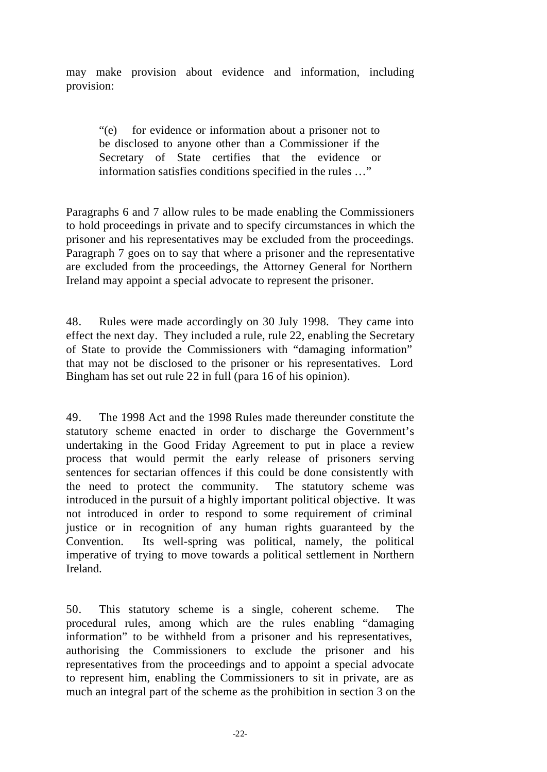may make provision about evidence and information, including provision:

"(e) for evidence or information about a prisoner not to be disclosed to anyone other than a Commissioner if the Secretary of State certifies that the evidence or information satisfies conditions specified in the rules …"

Paragraphs 6 and 7 allow rules to be made enabling the Commissioners to hold proceedings in private and to specify circumstances in which the prisoner and his representatives may be excluded from the proceedings. Paragraph 7 goes on to say that where a prisoner and the representative are excluded from the proceedings, the Attorney General for Northern Ireland may appoint a special advocate to represent the prisoner.

48. Rules were made accordingly on 30 July 1998. They came into effect the next day. They included a rule, rule 22, enabling the Secretary of State to provide the Commissioners with "damaging information" that may not be disclosed to the prisoner or his representatives. Lord Bingham has set out rule 22 in full (para 16 of his opinion).

49. The 1998 Act and the 1998 Rules made thereunder constitute the statutory scheme enacted in order to discharge the Government's undertaking in the Good Friday Agreement to put in place a review process that would permit the early release of prisoners serving sentences for sectarian offences if this could be done consistently with the need to protect the community. The statutory scheme was introduced in the pursuit of a highly important political objective. It was not introduced in order to respond to some requirement of criminal justice or in recognition of any human rights guaranteed by the Convention. Its well-spring was political, namely, the political imperative of trying to move towards a political settlement in Northern Ireland.

50. This statutory scheme is a single, coherent scheme. The procedural rules, among which are the rules enabling "damaging information" to be withheld from a prisoner and his representatives, authorising the Commissioners to exclude the prisoner and his representatives from the proceedings and to appoint a special advocate to represent him, enabling the Commissioners to sit in private, are as much an integral part of the scheme as the prohibition in section 3 on the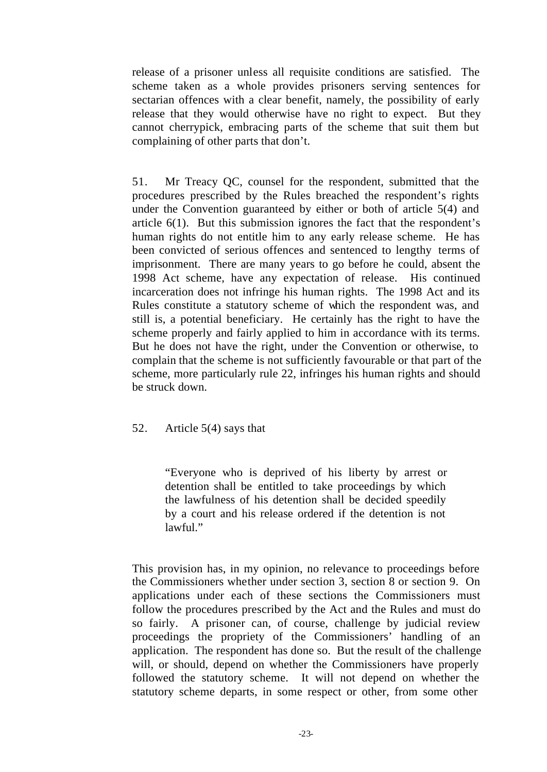release of a prisoner unless all requisite conditions are satisfied. The scheme taken as a whole provides prisoners serving sentences for sectarian offences with a clear benefit, namely, the possibility of early release that they would otherwise have no right to expect. But they cannot cherrypick, embracing parts of the scheme that suit them but complaining of other parts that don't.

51. Mr Treacy QC, counsel for the respondent, submitted that the procedures prescribed by the Rules breached the respondent's rights under the Convention guaranteed by either or both of article 5(4) and article 6(1). But this submission ignores the fact that the respondent's human rights do not entitle him to any early release scheme. He has been convicted of serious offences and sentenced to lengthy terms of imprisonment. There are many years to go before he could, absent the 1998 Act scheme, have any expectation of release. His continued incarceration does not infringe his human rights. The 1998 Act and its Rules constitute a statutory scheme of which the respondent was, and still is, a potential beneficiary. He certainly has the right to have the scheme properly and fairly applied to him in accordance with its terms. But he does not have the right, under the Convention or otherwise, to complain that the scheme is not sufficiently favourable or that part of the scheme, more particularly rule 22, infringes his human rights and should be struck down.

#### 52. Article 5(4) says that

"Everyone who is deprived of his liberty by arrest or detention shall be entitled to take proceedings by which the lawfulness of his detention shall be decided speedily by a court and his release ordered if the detention is not lawful."

This provision has, in my opinion, no relevance to proceedings before the Commissioners whether under section 3, section 8 or section 9. On applications under each of these sections the Commissioners must follow the procedures prescribed by the Act and the Rules and must do so fairly. A prisoner can, of course, challenge by judicial review proceedings the propriety of the Commissioners' handling of an application. The respondent has done so. But the result of the challenge will, or should, depend on whether the Commissioners have properly followed the statutory scheme. It will not depend on whether the statutory scheme departs, in some respect or other, from some other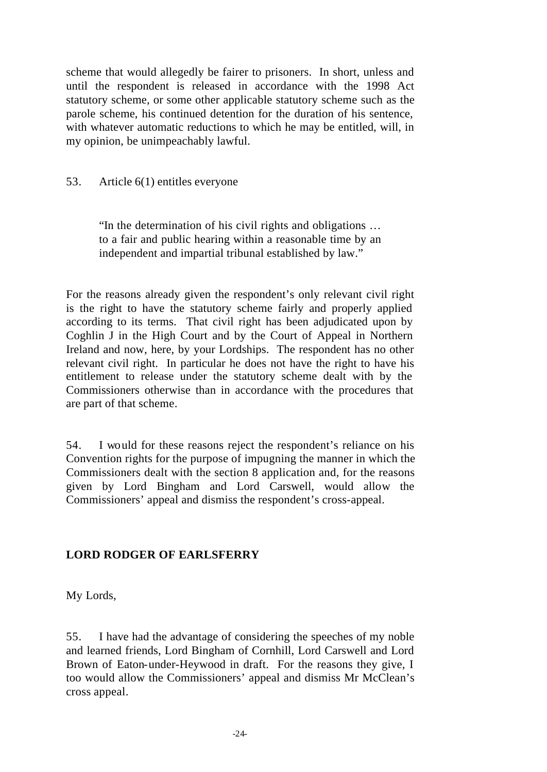scheme that would allegedly be fairer to prisoners. In short, unless and until the respondent is released in accordance with the 1998 Act statutory scheme, or some other applicable statutory scheme such as the parole scheme, his continued detention for the duration of his sentence, with whatever automatic reductions to which he may be entitled, will, in my opinion, be unimpeachably lawful.

#### 53. Article 6(1) entitles everyone

"In the determination of his civil rights and obligations … to a fair and public hearing within a reasonable time by an independent and impartial tribunal established by law."

For the reasons already given the respondent's only relevant civil right is the right to have the statutory scheme fairly and properly applied according to its terms. That civil right has been adjudicated upon by Coghlin J in the High Court and by the Court of Appeal in Northern Ireland and now, here, by your Lordships. The respondent has no other relevant civil right. In particular he does not have the right to have his entitlement to release under the statutory scheme dealt with by the Commissioners otherwise than in accordance with the procedures that are part of that scheme.

54. I would for these reasons reject the respondent's reliance on his Convention rights for the purpose of impugning the manner in which the Commissioners dealt with the section 8 application and, for the reasons given by Lord Bingham and Lord Carswell, would allow the Commissioners' appeal and dismiss the respondent's cross-appeal.

#### **LORD RODGER OF EARLSFERRY**

My Lords,

55. I have had the advantage of considering the speeches of my noble and learned friends, Lord Bingham of Cornhill, Lord Carswell and Lord Brown of Eaton-under-Heywood in draft. For the reasons they give, I too would allow the Commissioners' appeal and dismiss Mr McClean's cross appeal.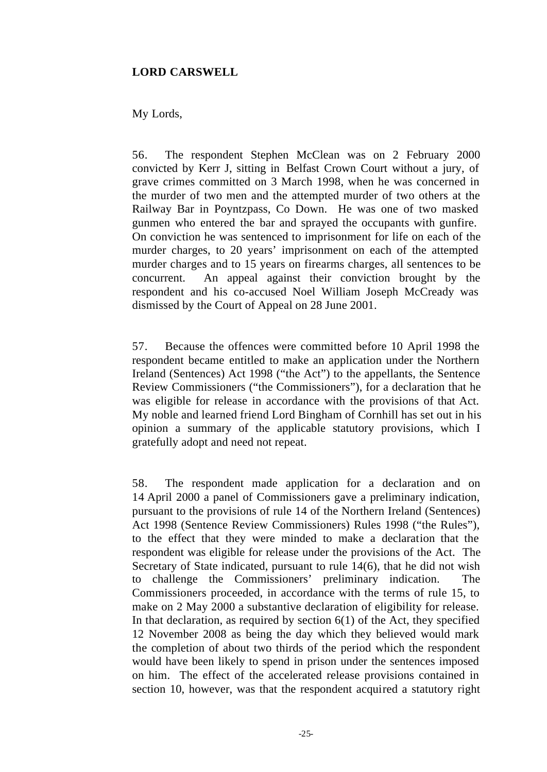#### **LORD CARSWELL**

#### My Lords,

56. The respondent Stephen McClean was on 2 February 2000 convicted by Kerr J, sitting in Belfast Crown Court without a jury, of grave crimes committed on 3 March 1998, when he was concerned in the murder of two men and the attempted murder of two others at the Railway Bar in Poyntzpass, Co Down. He was one of two masked gunmen who entered the bar and sprayed the occupants with gunfire. On conviction he was sentenced to imprisonment for life on each of the murder charges, to 20 years' imprisonment on each of the attempted murder charges and to 15 years on firearms charges, all sentences to be concurrent. An appeal against their conviction brought by the respondent and his co-accused Noel William Joseph McCready was dismissed by the Court of Appeal on 28 June 2001.

57. Because the offences were committed before 10 April 1998 the respondent became entitled to make an application under the Northern Ireland (Sentences) Act 1998 ("the Act") to the appellants, the Sentence Review Commissioners ("the Commissioners"), for a declaration that he was eligible for release in accordance with the provisions of that Act. My noble and learned friend Lord Bingham of Cornhill has set out in his opinion a summary of the applicable statutory provisions, which I gratefully adopt and need not repeat.

58. The respondent made application for a declaration and on 14 April 2000 a panel of Commissioners gave a preliminary indication, pursuant to the provisions of rule 14 of the Northern Ireland (Sentences) Act 1998 (Sentence Review Commissioners) Rules 1998 ("the Rules"), to the effect that they were minded to make a declaration that the respondent was eligible for release under the provisions of the Act. The Secretary of State indicated, pursuant to rule 14(6), that he did not wish to challenge the Commissioners' preliminary indication. The Commissioners proceeded, in accordance with the terms of rule 15, to make on 2 May 2000 a substantive declaration of eligibility for release. In that declaration, as required by section  $6(1)$  of the Act, they specified 12 November 2008 as being the day which they believed would mark the completion of about two thirds of the period which the respondent would have been likely to spend in prison under the sentences imposed on him. The effect of the accelerated release provisions contained in section 10, however, was that the respondent acquired a statutory right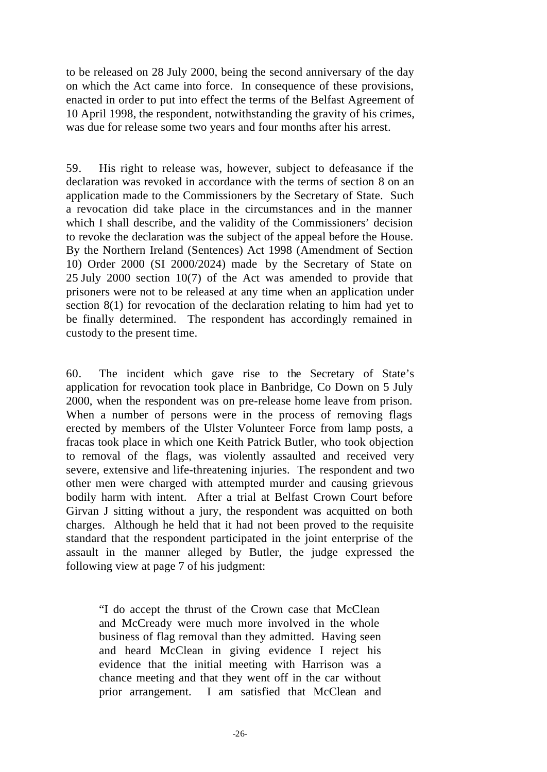to be released on 28 July 2000, being the second anniversary of the day on which the Act came into force. In consequence of these provisions, enacted in order to put into effect the terms of the Belfast Agreement of 10 April 1998, the respondent, notwithstanding the gravity of his crimes, was due for release some two years and four months after his arrest.

59. His right to release was, however, subject to defeasance if the declaration was revoked in accordance with the terms of section 8 on an application made to the Commissioners by the Secretary of State. Such a revocation did take place in the circumstances and in the manner which I shall describe, and the validity of the Commissioners' decision to revoke the declaration was the subject of the appeal before the House. By the Northern Ireland (Sentences) Act 1998 (Amendment of Section 10) Order 2000 (SI 2000/2024) made by the Secretary of State on 25 July 2000 section 10(7) of the Act was amended to provide that prisoners were not to be released at any time when an application under section 8(1) for revocation of the declaration relating to him had yet to be finally determined. The respondent has accordingly remained in custody to the present time.

60. The incident which gave rise to the Secretary of State's application for revocation took place in Banbridge, Co Down on 5 July 2000, when the respondent was on pre-release home leave from prison. When a number of persons were in the process of removing flags erected by members of the Ulster Volunteer Force from lamp posts, a fracas took place in which one Keith Patrick Butler, who took objection to removal of the flags, was violently assaulted and received very severe, extensive and life-threatening injuries. The respondent and two other men were charged with attempted murder and causing grievous bodily harm with intent. After a trial at Belfast Crown Court before Girvan J sitting without a jury, the respondent was acquitted on both charges. Although he held that it had not been proved to the requisite standard that the respondent participated in the joint enterprise of the assault in the manner alleged by Butler, the judge expressed the following view at page 7 of his judgment:

"I do accept the thrust of the Crown case that McClean and McCready were much more involved in the whole business of flag removal than they admitted. Having seen and heard McClean in giving evidence I reject his evidence that the initial meeting with Harrison was a chance meeting and that they went off in the car without prior arrangement. I am satisfied that McClean and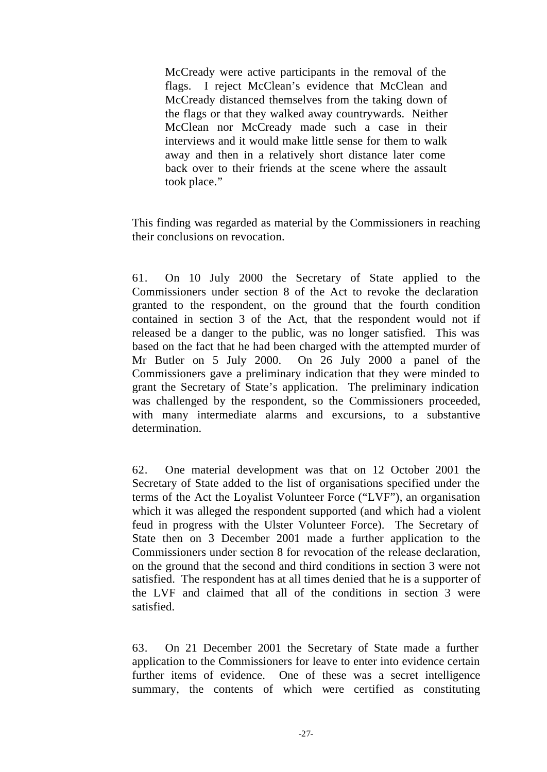McCready were active participants in the removal of the flags. I reject McClean's evidence that McClean and McCready distanced themselves from the taking down of the flags or that they walked away countrywards. Neither McClean nor McCready made such a case in their interviews and it would make little sense for them to walk away and then in a relatively short distance later come back over to their friends at the scene where the assault took place."

This finding was regarded as material by the Commissioners in reaching their conclusions on revocation.

61. On 10 July 2000 the Secretary of State applied to the Commissioners under section 8 of the Act to revoke the declaration granted to the respondent, on the ground that the fourth condition contained in section 3 of the Act, that the respondent would not if released be a danger to the public, was no longer satisfied. This was based on the fact that he had been charged with the attempted murder of Mr Butler on 5 July 2000. On 26 July 2000 a panel of the Commissioners gave a preliminary indication that they were minded to grant the Secretary of State's application. The preliminary indication was challenged by the respondent, so the Commissioners proceeded, with many intermediate alarms and excursions, to a substantive determination.

62. One material development was that on 12 October 2001 the Secretary of State added to the list of organisations specified under the terms of the Act the Loyalist Volunteer Force ("LVF"), an organisation which it was alleged the respondent supported (and which had a violent feud in progress with the Ulster Volunteer Force). The Secretary of State then on 3 December 2001 made a further application to the Commissioners under section 8 for revocation of the release declaration, on the ground that the second and third conditions in section 3 were not satisfied. The respondent has at all times denied that he is a supporter of the LVF and claimed that all of the conditions in section 3 were satisfied.

63. On 21 December 2001 the Secretary of State made a further application to the Commissioners for leave to enter into evidence certain further items of evidence. One of these was a secret intelligence summary, the contents of which were certified as constituting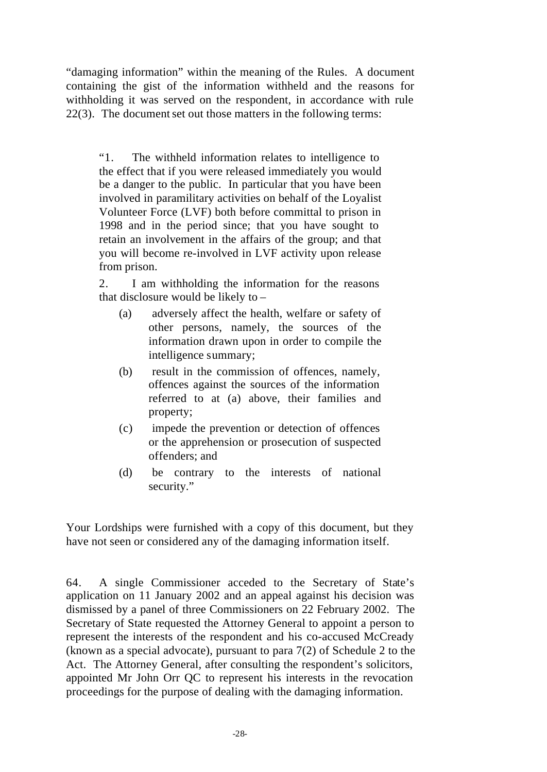"damaging information" within the meaning of the Rules. A document containing the gist of the information withheld and the reasons for withholding it was served on the respondent, in accordance with rule 22(3). The document set out those matters in the following terms:

"1. The withheld information relates to intelligence to the effect that if you were released immediately you would be a danger to the public. In particular that you have been involved in paramilitary activities on behalf of the Loyalist Volunteer Force (LVF) both before committal to prison in 1998 and in the period since; that you have sought to retain an involvement in the affairs of the group; and that you will become re-involved in LVF activity upon release from prison.

2. I am withholding the information for the reasons that disclosure would be likely to –

- (a) adversely affect the health, welfare or safety of other persons, namely, the sources of the information drawn upon in order to compile the intelligence summary;
- (b) result in the commission of offences, namely, offences against the sources of the information referred to at (a) above, their families and property;
- (c) impede the prevention or detection of offences or the apprehension or prosecution of suspected offenders; and
- (d) be contrary to the interests of national security."

Your Lordships were furnished with a copy of this document, but they have not seen or considered any of the damaging information itself.

64. A single Commissioner acceded to the Secretary of State's application on 11 January 2002 and an appeal against his decision was dismissed by a panel of three Commissioners on 22 February 2002. The Secretary of State requested the Attorney General to appoint a person to represent the interests of the respondent and his co-accused McCready (known as a special advocate), pursuant to para  $7(2)$  of Schedule 2 to the Act. The Attorney General, after consulting the respondent's solicitors, appointed Mr John Orr QC to represent his interests in the revocation proceedings for the purpose of dealing with the damaging information.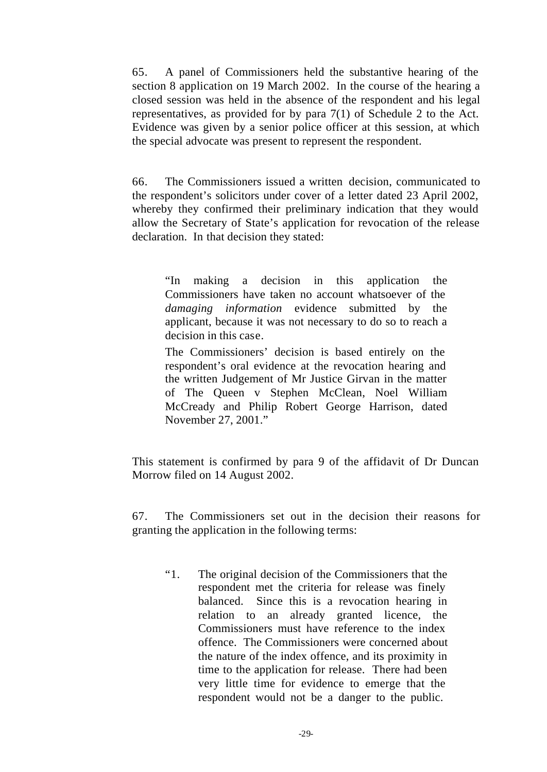65. A panel of Commissioners held the substantive hearing of the section 8 application on 19 March 2002. In the course of the hearing a closed session was held in the absence of the respondent and his legal representatives, as provided for by para 7(1) of Schedule 2 to the Act. Evidence was given by a senior police officer at this session, at which the special advocate was present to represent the respondent.

66. The Commissioners issued a written decision, communicated to the respondent's solicitors under cover of a letter dated 23 April 2002, whereby they confirmed their preliminary indication that they would allow the Secretary of State's application for revocation of the release declaration. In that decision they stated:

"In making a decision in this application the Commissioners have taken no account whatsoever of the *damaging information* evidence submitted by the applicant, because it was not necessary to do so to reach a decision in this case.

The Commissioners' decision is based entirely on the respondent's oral evidence at the revocation hearing and the written Judgement of Mr Justice Girvan in the matter of The Queen v Stephen McClean, Noel William McCready and Philip Robert George Harrison, dated November 27, 2001."

This statement is confirmed by para 9 of the affidavit of Dr Duncan Morrow filed on 14 August 2002.

67. The Commissioners set out in the decision their reasons for granting the application in the following terms:

"1. The original decision of the Commissioners that the respondent met the criteria for release was finely balanced. Since this is a revocation hearing in relation to an already granted licence, the Commissioners must have reference to the index offence. The Commissioners were concerned about the nature of the index offence, and its proximity in time to the application for release. There had been very little time for evidence to emerge that the respondent would not be a danger to the public.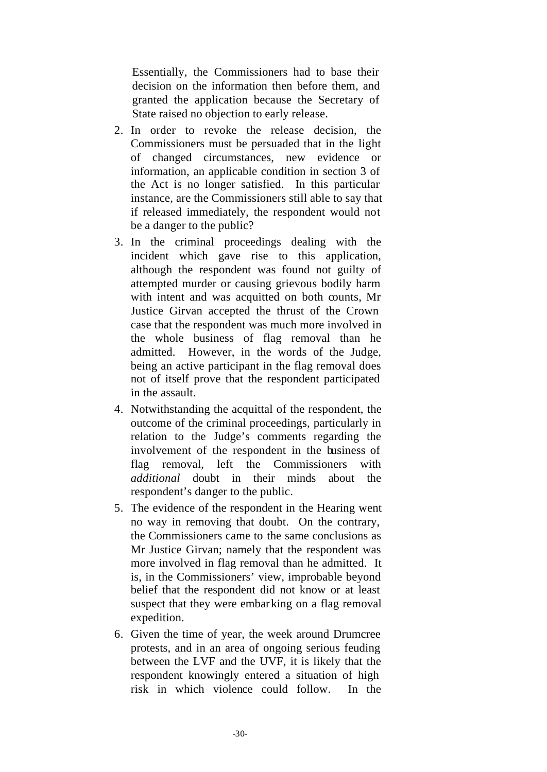Essentially, the Commissioners had to base their decision on the information then before them, and granted the application because the Secretary of State raised no objection to early release.

- 2. In order to revoke the release decision, the Commissioners must be persuaded that in the light of changed circumstances, new evidence or information, an applicable condition in section 3 of the Act is no longer satisfied. In this particular instance, are the Commissioners still able to say that if released immediately, the respondent would not be a danger to the public?
- 3. In the criminal proceedings dealing with the incident which gave rise to this application, although the respondent was found not guilty of attempted murder or causing grievous bodily harm with intent and was acquitted on both counts, Mr Justice Girvan accepted the thrust of the Crown case that the respondent was much more involved in the whole business of flag removal than he admitted. However, in the words of the Judge, being an active participant in the flag removal does not of itself prove that the respondent participated in the assault.
- 4. Notwithstanding the acquittal of the respondent, the outcome of the criminal proceedings, particularly in relation to the Judge's comments regarding the involvement of the respondent in the business of flag removal, left the Commissioners with *additional* doubt in their minds about the respondent's danger to the public.
- 5. The evidence of the respondent in the Hearing went no way in removing that doubt. On the contrary, the Commissioners came to the same conclusions as Mr Justice Girvan; namely that the respondent was more involved in flag removal than he admitted. It is, in the Commissioners' view, improbable beyond belief that the respondent did not know or at least suspect that they were embarking on a flag removal expedition.
- 6. Given the time of year, the week around Drumcree protests, and in an area of ongoing serious feuding between the LVF and the UVF, it is likely that the respondent knowingly entered a situation of high risk in which violence could follow. In the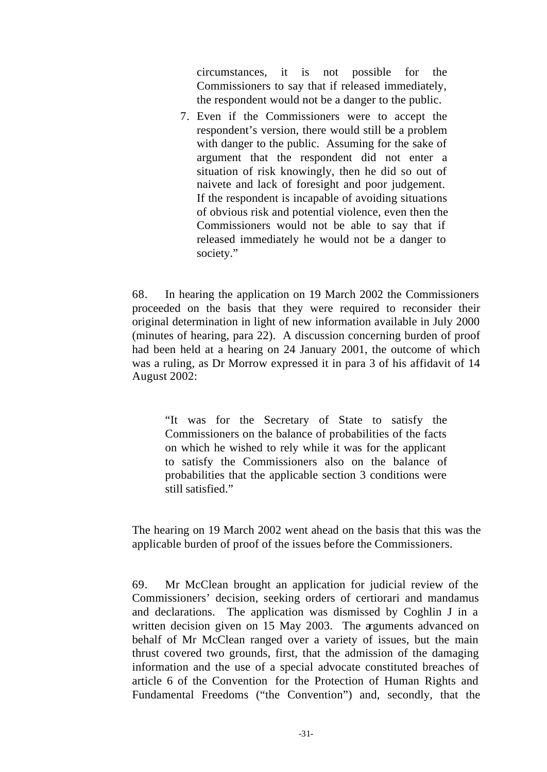circumstances, it is not possible for the Commissioners to say that if released immediately, the respondent would not be a danger to the public.

7. Even if the Commissioners were to accept the respondent's version, there would still be a problem with danger to the public. Assuming for the sake of argument that the respondent did not enter a situation of risk knowingly, then he did so out of naivete and lack of foresight and poor judgement. If the respondent is incapable of avoiding situations of obvious risk and potential violence, even then the Commissioners would not be able to say that if released immediately he would not be a danger to society."

68. In hearing the application on 19 March 2002 the Commissioners proceeded on the basis that they were required to reconsider their original determination in light of new information available in July 2000 (minutes of hearing, para 22). A discussion concerning burden of proof had been held at a hearing on 24 January 2001, the outcome of which was a ruling, as Dr Morrow expressed it in para 3 of his affidavit of 14 August 2002:

"It was for the Secretary of State to satisfy the Commissioners on the balance of probabilities of the facts on which he wished to rely while it was for the applicant to satisfy the Commissioners also on the balance of probabilities that the applicable section 3 conditions were still satisfied."

The hearing on 19 March 2002 went ahead on the basis that this was the applicable burden of proof of the issues before the Commissioners.

69. Mr McClean brought an application for judicial review of the Commissioners' decision, seeking orders of certiorari and mandamus and declarations. The application was dismissed by Coghlin J in a written decision given on 15 May 2003. The arguments advanced on behalf of Mr McClean ranged over a variety of issues, but the main thrust covered two grounds, first, that the admission of the damaging information and the use of a special advocate constituted breaches of article 6 of the Convention for the Protection of Human Rights and Fundamental Freedoms ("the Convention") and, secondly, that the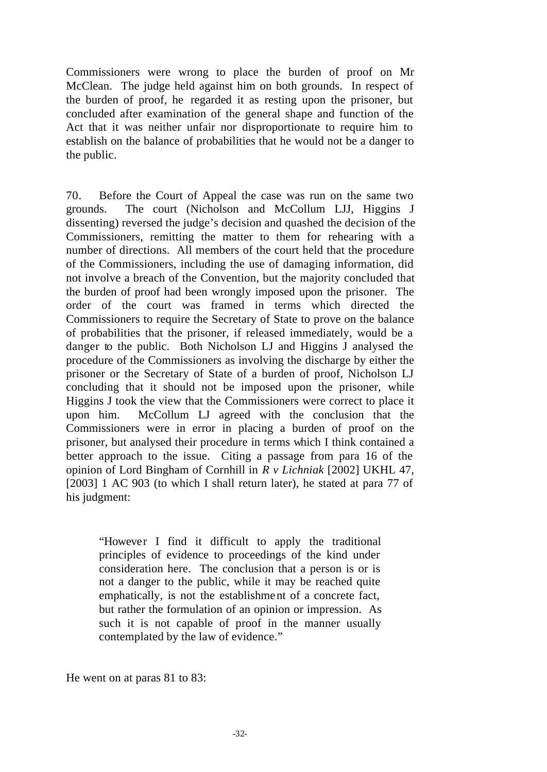Commissioners were wrong to place the burden of proof on Mr McClean. The judge held against him on both grounds. In respect of the burden of proof, he regarded it as resting upon the prisoner, but concluded after examination of the general shape and function of the Act that it was neither unfair nor disproportionate to require him to establish on the balance of probabilities that he would not be a danger to the public.

70. Before the Court of Appeal the case was run on the same two grounds. The court (Nicholson and McCollum LJJ, Higgins J dissenting) reversed the judge's decision and quashed the decision of the Commissioners, remitting the matter to them for rehearing with a number of directions. All members of the court held that the procedure of the Commissioners, including the use of damaging information, did not involve a breach of the Convention, but the majority concluded that the burden of proof had been wrongly imposed upon the prisoner. The order of the court was framed in terms which directed the Commissioners to require the Secretary of State to prove on the balance of probabilities that the prisoner, if released immediately, would be a danger to the public. Both Nicholson LJ and Higgins J analysed the procedure of the Commissioners as involving the discharge by either the prisoner or the Secretary of State of a burden of proof, Nicholson LJ concluding that it should not be imposed upon the prisoner, while Higgins J took the view that the Commissioners were correct to place it upon him. McCollum LJ agreed with the conclusion that the Commissioners were in error in placing a burden of proof on the prisoner, but analysed their procedure in terms which I think contained a better approach to the issue. Citing a passage from para 16 of the opinion of Lord Bingham of Cornhill in *R v Lichniak* [2002] UKHL 47, [2003] 1 AC 903 (to which I shall return later), he stated at para 77 of his judgment:

"However I find it difficult to apply the traditional principles of evidence to proceedings of the kind under consideration here. The conclusion that a person is or is not a danger to the public, while it may be reached quite emphatically, is not the establishment of a concrete fact, but rather the formulation of an opinion or impression. As such it is not capable of proof in the manner usually contemplated by the law of evidence."

He went on at paras 81 to 83: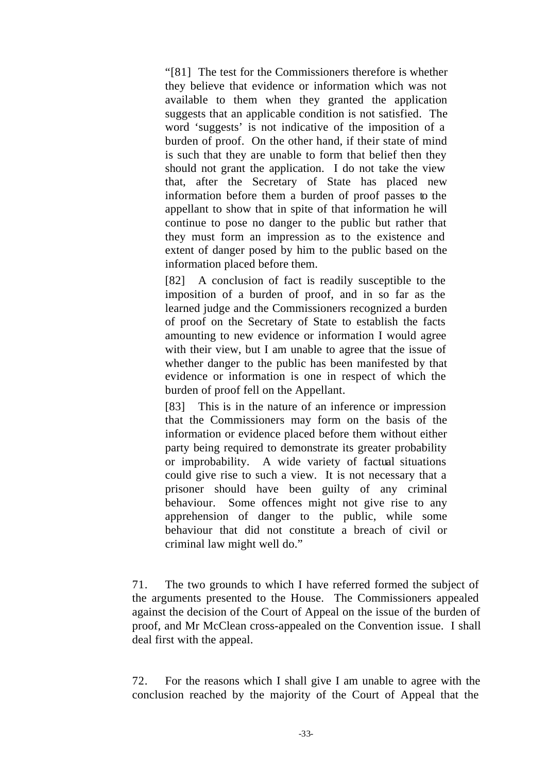"[81] The test for the Commissioners therefore is whether they believe that evidence or information which was not available to them when they granted the application suggests that an applicable condition is not satisfied. The word 'suggests' is not indicative of the imposition of a burden of proof. On the other hand, if their state of mind is such that they are unable to form that belief then they should not grant the application. I do not take the view that, after the Secretary of State has placed new information before them a burden of proof passes to the appellant to show that in spite of that information he will continue to pose no danger to the public but rather that they must form an impression as to the existence and extent of danger posed by him to the public based on the information placed before them.

[82] A conclusion of fact is readily susceptible to the imposition of a burden of proof, and in so far as the learned judge and the Commissioners recognized a burden of proof on the Secretary of State to establish the facts amounting to new evidence or information I would agree with their view, but I am unable to agree that the issue of whether danger to the public has been manifested by that evidence or information is one in respect of which the burden of proof fell on the Appellant.

[83] This is in the nature of an inference or impression that the Commissioners may form on the basis of the information or evidence placed before them without either party being required to demonstrate its greater probability or improbability. A wide variety of factual situations could give rise to such a view. It is not necessary that a prisoner should have been guilty of any criminal behaviour. Some offences might not give rise to any apprehension of danger to the public, while some behaviour that did not constitute a breach of civil or criminal law might well do."

71. The two grounds to which I have referred formed the subject of the arguments presented to the House. The Commissioners appealed against the decision of the Court of Appeal on the issue of the burden of proof, and Mr McClean cross-appealed on the Convention issue. I shall deal first with the appeal.

72. For the reasons which I shall give I am unable to agree with the conclusion reached by the majority of the Court of Appeal that the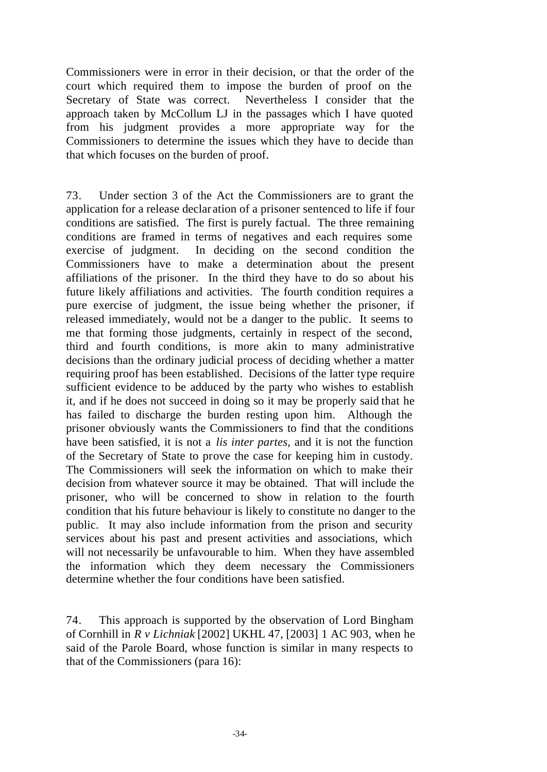Commissioners were in error in their decision, or that the order of the court which required them to impose the burden of proof on the Secretary of State was correct. Nevertheless I consider that the approach taken by McCollum LJ in the passages which I have quoted from his judgment provides a more appropriate way for the Commissioners to determine the issues which they have to decide than that which focuses on the burden of proof.

73. Under section 3 of the Act the Commissioners are to grant the application for a release declar ation of a prisoner sentenced to life if four conditions are satisfied. The first is purely factual. The three remaining conditions are framed in terms of negatives and each requires some exercise of judgment. In deciding on the second condition the Commissioners have to make a determination about the present affiliations of the prisoner. In the third they have to do so about his future likely affiliations and activities. The fourth condition requires a pure exercise of judgment, the issue being whether the prisoner, if released immediately, would not be a danger to the public. It seems to me that forming those judgments, certainly in respect of the second, third and fourth conditions, is more akin to many administrative decisions than the ordinary judicial process of deciding whether a matter requiring proof has been established. Decisions of the latter type require sufficient evidence to be adduced by the party who wishes to establish it, and if he does not succeed in doing so it may be properly said that he has failed to discharge the burden resting upon him. Although the prisoner obviously wants the Commissioners to find that the conditions have been satisfied, it is not a *lis inter partes*, and it is not the function of the Secretary of State to prove the case for keeping him in custody. The Commissioners will seek the information on which to make their decision from whatever source it may be obtained. That will include the prisoner, who will be concerned to show in relation to the fourth condition that his future behaviour is likely to constitute no danger to the public. It may also include information from the prison and security services about his past and present activities and associations, which will not necessarily be unfavourable to him. When they have assembled the information which they deem necessary the Commissioners determine whether the four conditions have been satisfied.

74. This approach is supported by the observation of Lord Bingham of Cornhill in *R v Lichniak* [2002] UKHL 47, [2003] 1 AC 903, when he said of the Parole Board, whose function is similar in many respects to that of the Commissioners (para 16):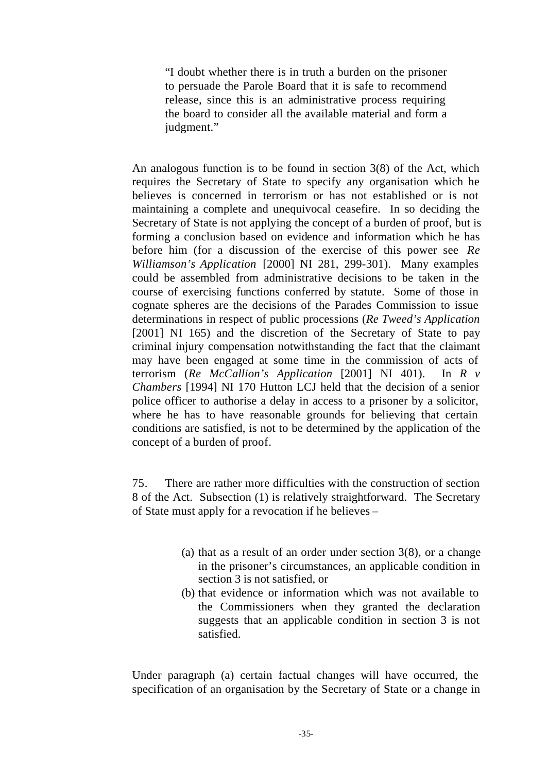"I doubt whether there is in truth a burden on the prisoner to persuade the Parole Board that it is safe to recommend release, since this is an administrative process requiring the board to consider all the available material and form a judgment."

An analogous function is to be found in section 3(8) of the Act, which requires the Secretary of State to specify any organisation which he believes is concerned in terrorism or has not established or is not maintaining a complete and unequivocal ceasefire. In so deciding the Secretary of State is not applying the concept of a burden of proof, but is forming a conclusion based on evidence and information which he has before him (for a discussion of the exercise of this power see *Re Williamson's Application* [2000] NI 281, 299-301). Many examples could be assembled from administrative decisions to be taken in the course of exercising functions conferred by statute. Some of those in cognate spheres are the decisions of the Parades Commission to issue determinations in respect of public processions (*Re Tweed's Application*  [2001] NI 165) and the discretion of the Secretary of State to pay criminal injury compensation notwithstanding the fact that the claimant may have been engaged at some time in the commission of acts of terrorism (*Re McCallion's Application* [2001] NI 401). In *R v Chambers* [1994] NI 170 Hutton LCJ held that the decision of a senior police officer to authorise a delay in access to a prisoner by a solicitor, where he has to have reasonable grounds for believing that certain conditions are satisfied, is not to be determined by the application of the concept of a burden of proof.

75. There are rather more difficulties with the construction of section 8 of the Act. Subsection (1) is relatively straightforward. The Secretary of State must apply for a revocation if he believes –

- (a) that as a result of an order under section  $3(8)$ , or a change in the prisoner's circumstances, an applicable condition in section 3 is not satisfied, or
- (b) that evidence or information which was not available to the Commissioners when they granted the declaration suggests that an applicable condition in section 3 is not satisfied.

Under paragraph (a) certain factual changes will have occurred, the specification of an organisation by the Secretary of State or a change in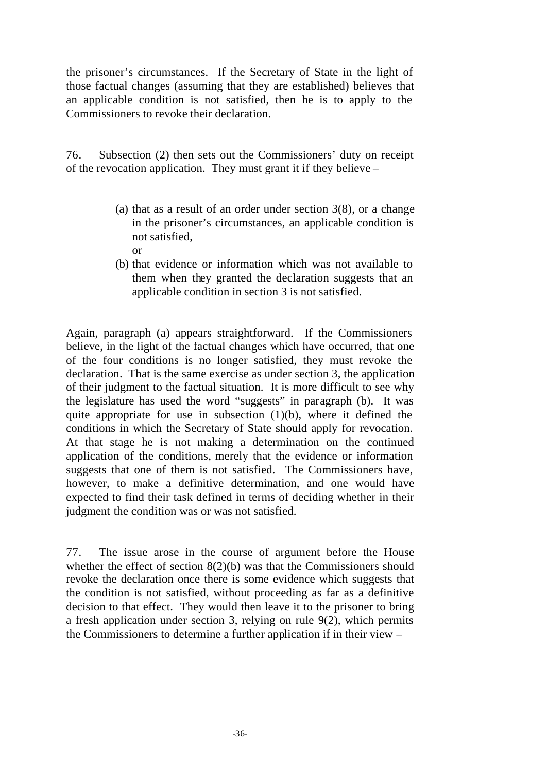the prisoner's circumstances. If the Secretary of State in the light of those factual changes (assuming that they are established) believes that an applicable condition is not satisfied, then he is to apply to the Commissioners to revoke their declaration.

76. Subsection (2) then sets out the Commissioners' duty on receipt of the revocation application. They must grant it if they believe –

- (a) that as a result of an order under section  $3(8)$ , or a change in the prisoner's circumstances, an applicable condition is not satisfied, or
- (b) that evidence or information which was not available to them when they granted the declaration suggests that an applicable condition in section 3 is not satisfied.

Again, paragraph (a) appears straightforward. If the Commissioners believe, in the light of the factual changes which have occurred, that one of the four conditions is no longer satisfied, they must revoke the declaration. That is the same exercise as under section 3, the application of their judgment to the factual situation. It is more difficult to see why the legislature has used the word "suggests" in paragraph (b). It was quite appropriate for use in subsection  $(1)(b)$ , where it defined the conditions in which the Secretary of State should apply for revocation. At that stage he is not making a determination on the continued application of the conditions, merely that the evidence or information suggests that one of them is not satisfied. The Commissioners have, however, to make a definitive determination, and one would have expected to find their task defined in terms of deciding whether in their judgment the condition was or was not satisfied.

77. The issue arose in the course of argument before the House whether the effect of section 8(2)(b) was that the Commissioners should revoke the declaration once there is some evidence which suggests that the condition is not satisfied, without proceeding as far as a definitive decision to that effect. They would then leave it to the prisoner to bring a fresh application under section 3, relying on rule 9(2), which permits the Commissioners to determine a further application if in their view –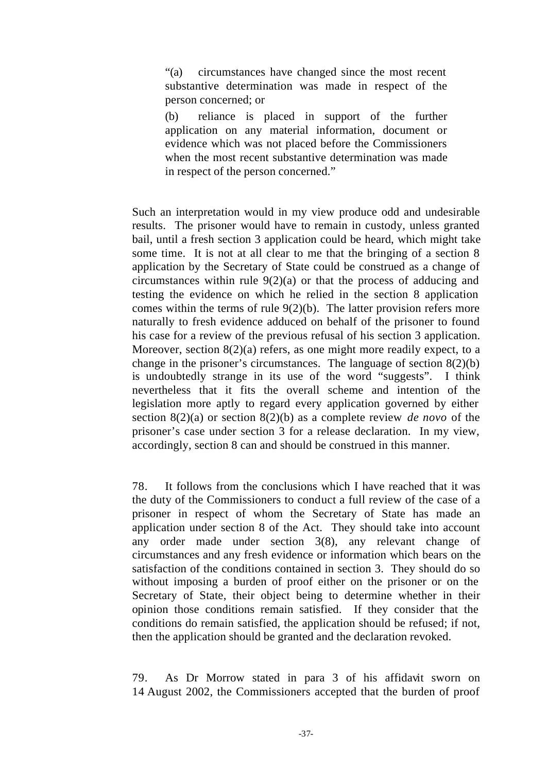"(a) circumstances have changed since the most recent substantive determination was made in respect of the person concerned; or

(b) reliance is placed in support of the further application on any material information, document or evidence which was not placed before the Commissioners when the most recent substantive determination was made in respect of the person concerned."

Such an interpretation would in my view produce odd and undesirable results. The prisoner would have to remain in custody, unless granted bail, until a fresh section 3 application could be heard, which might take some time. It is not at all clear to me that the bringing of a section 8 application by the Secretary of State could be construed as a change of circumstances within rule 9(2)(a) or that the process of adducing and testing the evidence on which he relied in the section 8 application comes within the terms of rule  $9(2)(b)$ . The latter provision refers more naturally to fresh evidence adduced on behalf of the prisoner to found his case for a review of the previous refusal of his section 3 application. Moreover, section 8(2)(a) refers, as one might more readily expect, to a change in the prisoner's circumstances. The language of section 8(2)(b) is undoubtedly strange in its use of the word "suggests". I think nevertheless that it fits the overall scheme and intention of the legislation more aptly to regard every application governed by either section 8(2)(a) or section 8(2)(b) as a complete review *de novo* of the prisoner's case under section 3 for a release declaration. In my view, accordingly, section 8 can and should be construed in this manner.

78. It follows from the conclusions which I have reached that it was the duty of the Commissioners to conduct a full review of the case of a prisoner in respect of whom the Secretary of State has made an application under section 8 of the Act. They should take into account any order made under section 3(8), any relevant change of circumstances and any fresh evidence or information which bears on the satisfaction of the conditions contained in section 3. They should do so without imposing a burden of proof either on the prisoner or on the Secretary of State, their object being to determine whether in their opinion those conditions remain satisfied. If they consider that the conditions do remain satisfied, the application should be refused; if not, then the application should be granted and the declaration revoked.

79. As Dr Morrow stated in para 3 of his affidavit sworn on 14 August 2002, the Commissioners accepted that the burden of proof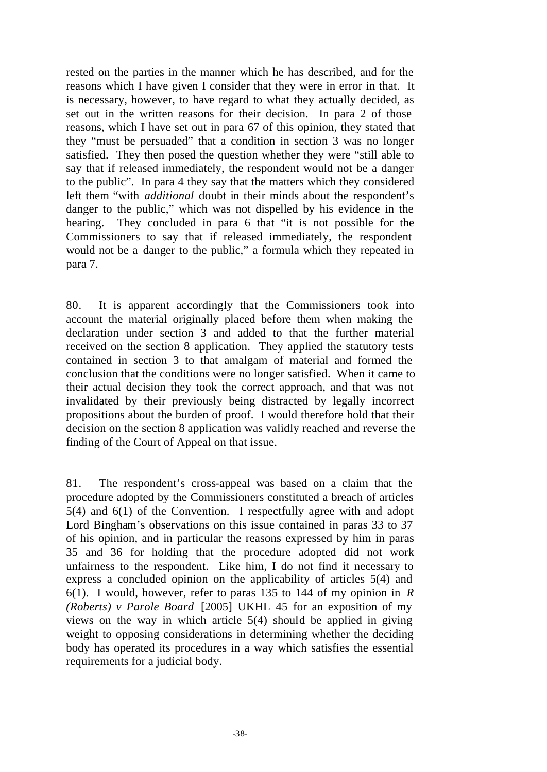rested on the parties in the manner which he has described, and for the reasons which I have given I consider that they were in error in that. It is necessary, however, to have regard to what they actually decided, as set out in the written reasons for their decision. In para 2 of those reasons, which I have set out in para 67 of this opinion, they stated that they "must be persuaded" that a condition in section 3 was no longer satisfied. They then posed the question whether they were "still able to say that if released immediately, the respondent would not be a danger to the public". In para 4 they say that the matters which they considered left them "with *additional* doubt in their minds about the respondent's danger to the public," which was not dispelled by his evidence in the hearing. They concluded in para 6 that "it is not possible for the Commissioners to say that if released immediately, the respondent would not be a danger to the public," a formula which they repeated in para 7.

80. It is apparent accordingly that the Commissioners took into account the material originally placed before them when making the declaration under section 3 and added to that the further material received on the section 8 application. They applied the statutory tests contained in section 3 to that amalgam of material and formed the conclusion that the conditions were no longer satisfied. When it came to their actual decision they took the correct approach, and that was not invalidated by their previously being distracted by legally incorrect propositions about the burden of proof. I would therefore hold that their decision on the section 8 application was validly reached and reverse the finding of the Court of Appeal on that issue.

81. The respondent's cross-appeal was based on a claim that the procedure adopted by the Commissioners constituted a breach of articles 5(4) and 6(1) of the Convention. I respectfully agree with and adopt Lord Bingham's observations on this issue contained in paras 33 to 37 of his opinion, and in particular the reasons expressed by him in paras 35 and 36 for holding that the procedure adopted did not work unfairness to the respondent. Like him, I do not find it necessary to express a concluded opinion on the applicability of articles 5(4) and 6(1). I would, however, refer to paras 135 to 144 of my opinion in *R (Roberts) v Parole Board* [2005] UKHL 45 for an exposition of my views on the way in which article 5(4) should be applied in giving weight to opposing considerations in determining whether the deciding body has operated its procedures in a way which satisfies the essential requirements for a judicial body.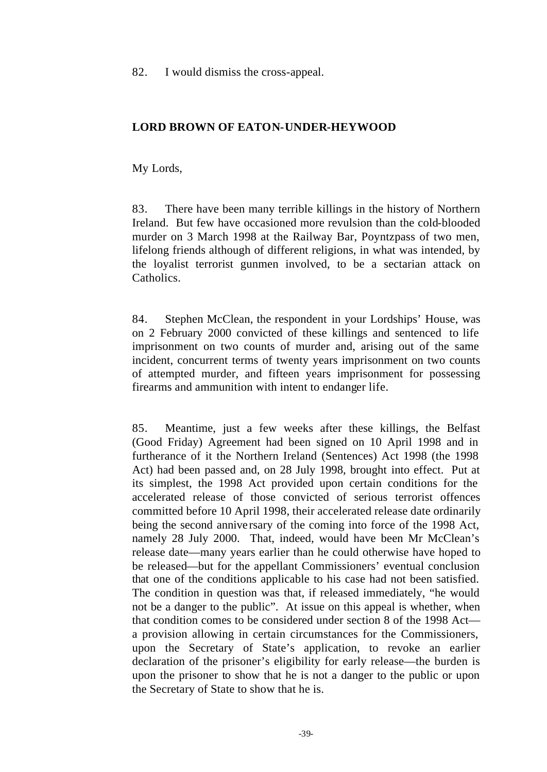#### **LORD BROWN OF EATON-UNDER-HEYWOOD**

My Lords,

83. There have been many terrible killings in the history of Northern Ireland. But few have occasioned more revulsion than the cold-blooded murder on 3 March 1998 at the Railway Bar, Poyntzpass of two men, lifelong friends although of different religions, in what was intended, by the loyalist terrorist gunmen involved, to be a sectarian attack on Catholics.

84. Stephen McClean, the respondent in your Lordships' House, was on 2 February 2000 convicted of these killings and sentenced to life imprisonment on two counts of murder and, arising out of the same incident, concurrent terms of twenty years imprisonment on two counts of attempted murder, and fifteen years imprisonment for possessing firearms and ammunition with intent to endanger life.

85. Meantime, just a few weeks after these killings, the Belfast (Good Friday) Agreement had been signed on 10 April 1998 and in furtherance of it the Northern Ireland (Sentences) Act 1998 (the 1998 Act) had been passed and, on 28 July 1998, brought into effect. Put at its simplest, the 1998 Act provided upon certain conditions for the accelerated release of those convicted of serious terrorist offences committed before 10 April 1998, their accelerated release date ordinarily being the second annive rsary of the coming into force of the 1998 Act, namely 28 July 2000. That, indeed, would have been Mr McClean's release date—many years earlier than he could otherwise have hoped to be released—but for the appellant Commissioners' eventual conclusion that one of the conditions applicable to his case had not been satisfied. The condition in question was that, if released immediately, "he would not be a danger to the public". At issue on this appeal is whether, when that condition comes to be considered under section 8 of the 1998 Act a provision allowing in certain circumstances for the Commissioners, upon the Secretary of State's application, to revoke an earlier declaration of the prisoner's eligibility for early release—the burden is upon the prisoner to show that he is not a danger to the public or upon the Secretary of State to show that he is.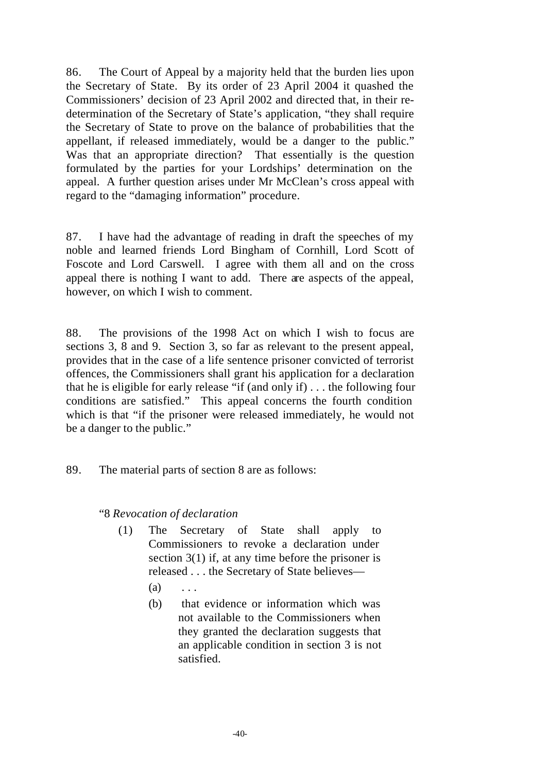86. The Court of Appeal by a majority held that the burden lies upon the Secretary of State. By its order of 23 April 2004 it quashed the Commissioners' decision of 23 April 2002 and directed that, in their redetermination of the Secretary of State's application, "they shall require the Secretary of State to prove on the balance of probabilities that the appellant, if released immediately, would be a danger to the public." Was that an appropriate direction? That essentially is the question formulated by the parties for your Lordships' determination on the appeal. A further question arises under Mr McClean's cross appeal with regard to the "damaging information" procedure.

87. I have had the advantage of reading in draft the speeches of my noble and learned friends Lord Bingham of Cornhill, Lord Scott of Foscote and Lord Carswell. I agree with them all and on the cross appeal there is nothing I want to add. There are aspects of the appeal, however, on which I wish to comment.

88. The provisions of the 1998 Act on which I wish to focus are sections 3, 8 and 9. Section 3, so far as relevant to the present appeal, provides that in the case of a life sentence prisoner convicted of terrorist offences, the Commissioners shall grant his application for a declaration that he is eligible for early release "if (and only if) . . . the following four conditions are satisfied." This appeal concerns the fourth condition which is that "if the prisoner were released immediately, he would not be a danger to the public."

89. The material parts of section 8 are as follows:

#### "8 *Revocation of declaration*

- (1) The Secretary of State shall apply to Commissioners to revoke a declaration under section 3(1) if, at any time before the prisoner is released . . . the Secretary of State believes—
	- $(a)$  ...
	- (b) that evidence or information which was not available to the Commissioners when they granted the declaration suggests that an applicable condition in section 3 is not satisfied.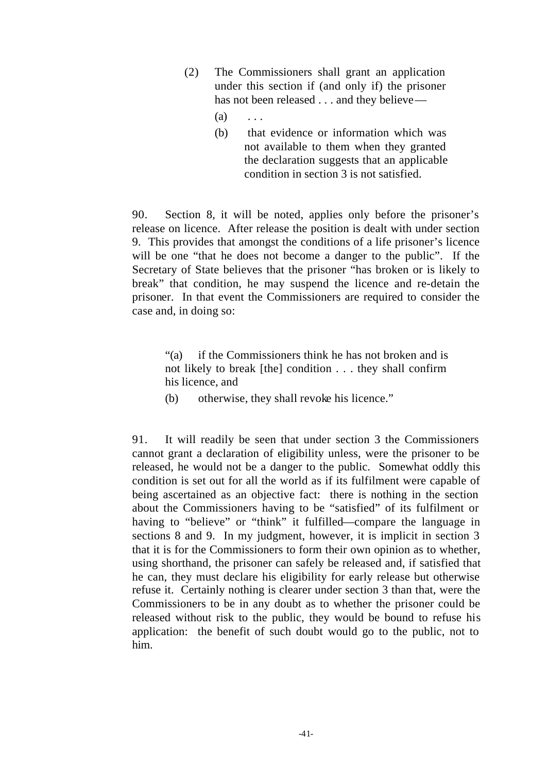- (2) The Commissioners shall grant an application under this section if (and only if) the prisoner has not been released . . . and they believe—
	- $(a)$  ...
	- (b) that evidence or information which was not available to them when they granted the declaration suggests that an applicable condition in section 3 is not satisfied.

90. Section 8, it will be noted, applies only before the prisoner's release on licence. After release the position is dealt with under section 9. This provides that amongst the conditions of a life prisoner's licence will be one "that he does not become a danger to the public". If the Secretary of State believes that the prisoner "has broken or is likely to break" that condition, he may suspend the licence and re-detain the prisoner. In that event the Commissioners are required to consider the case and, in doing so:

"(a) if the Commissioners think he has not broken and is not likely to break [the] condition . . . they shall confirm his licence, and

(b) otherwise, they shall revoke his licence."

91. It will readily be seen that under section 3 the Commissioners cannot grant a declaration of eligibility unless, were the prisoner to be released, he would not be a danger to the public. Somewhat oddly this condition is set out for all the world as if its fulfilment were capable of being ascertained as an objective fact: there is nothing in the section about the Commissioners having to be "satisfied" of its fulfilment or having to "believe" or "think" it fulfilled—compare the language in sections 8 and 9. In my judgment, however, it is implicit in section 3 that it is for the Commissioners to form their own opinion as to whether, using shorthand, the prisoner can safely be released and, if satisfied that he can, they must declare his eligibility for early release but otherwise refuse it. Certainly nothing is clearer under section 3 than that, were the Commissioners to be in any doubt as to whether the prisoner could be released without risk to the public, they would be bound to refuse his application: the benefit of such doubt would go to the public, not to him.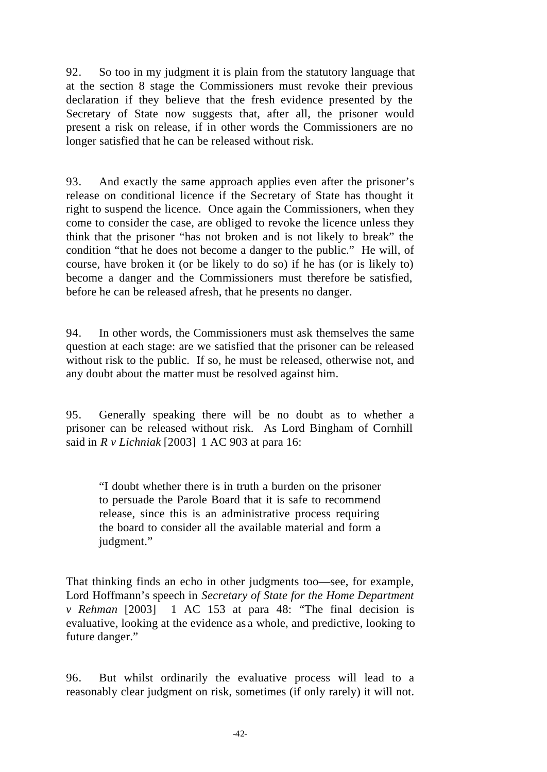92. So too in my judgment it is plain from the statutory language that at the section 8 stage the Commissioners must revoke their previous declaration if they believe that the fresh evidence presented by the Secretary of State now suggests that, after all, the prisoner would present a risk on release, if in other words the Commissioners are no longer satisfied that he can be released without risk.

93. And exactly the same approach applies even after the prisoner's release on conditional licence if the Secretary of State has thought it right to suspend the licence. Once again the Commissioners, when they come to consider the case, are obliged to revoke the licence unless they think that the prisoner "has not broken and is not likely to break" the condition "that he does not become a danger to the public." He will, of course, have broken it (or be likely to do so) if he has (or is likely to) become a danger and the Commissioners must therefore be satisfied, before he can be released afresh, that he presents no danger.

94. In other words, the Commissioners must ask themselves the same question at each stage: are we satisfied that the prisoner can be released without risk to the public. If so, he must be released, otherwise not, and any doubt about the matter must be resolved against him.

95. Generally speaking there will be no doubt as to whether a prisoner can be released without risk. As Lord Bingham of Cornhill said in *R v Lichniak* [2003] 1 AC 903 at para 16:

"I doubt whether there is in truth a burden on the prisoner to persuade the Parole Board that it is safe to recommend release, since this is an administrative process requiring the board to consider all the available material and form a judgment."

That thinking finds an echo in other judgments too—see, for example, Lord Hoffmann's speech in *Secretary of State for the Home Department v Rehman* [2003] 1 AC 153 at para 48: "The final decision is evaluative, looking at the evidence as a whole, and predictive, looking to future danger."

96. But whilst ordinarily the evaluative process will lead to a reasonably clear judgment on risk, sometimes (if only rarely) it will not.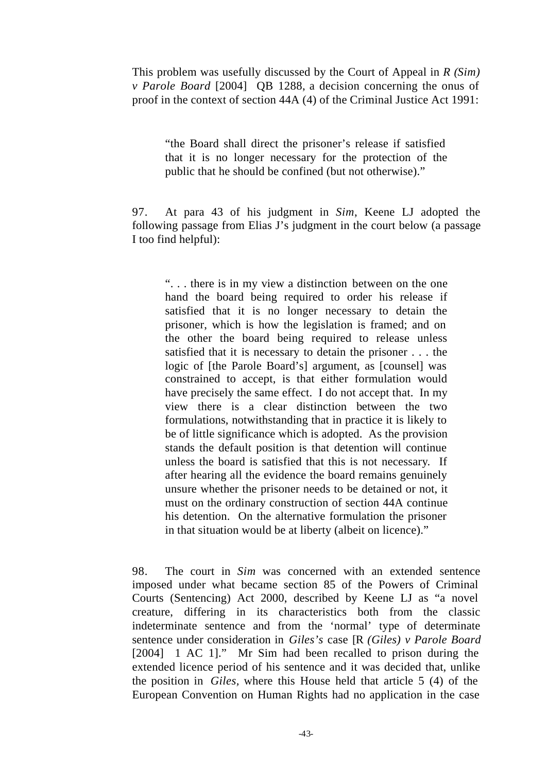This problem was usefully discussed by the Court of Appeal in *R (Sim) v Parole Board* [2004] QB 1288, a decision concerning the onus of proof in the context of section 44A (4) of the Criminal Justice Act 1991:

"the Board shall direct the prisoner's release if satisfied that it is no longer necessary for the protection of the public that he should be confined (but not otherwise)."

97. At para 43 of his judgment in *Sim*, Keene LJ adopted the following passage from Elias J's judgment in the court below (a passage I too find helpful):

". . . there is in my view a distinction between on the one hand the board being required to order his release if satisfied that it is no longer necessary to detain the prisoner, which is how the legislation is framed; and on the other the board being required to release unless satisfied that it is necessary to detain the prisoner . . . the logic of [the Parole Board's] argument, as [counsel] was constrained to accept, is that either formulation would have precisely the same effect. I do not accept that. In my view there is a clear distinction between the two formulations, notwithstanding that in practice it is likely to be of little significance which is adopted. As the provision stands the default position is that detention will continue unless the board is satisfied that this is not necessary. If after hearing all the evidence the board remains genuinely unsure whether the prisoner needs to be detained or not, it must on the ordinary construction of section 44A continue his detention. On the alternative formulation the prisoner in that situation would be at liberty (albeit on licence)."

98. The court in *Sim* was concerned with an extended sentence imposed under what became section 85 of the Powers of Criminal Courts (Sentencing) Act 2000, described by Keene LJ as "a novel creature, differing in its characteristics both from the classic indeterminate sentence and from the 'normal' type of determinate sentence under consideration in *Giles's* case [R *(Giles) v Parole Board* [2004] 1 AC 1]." Mr Sim had been recalled to prison during the extended licence period of his sentence and it was decided that, unlike the position in *Giles,* where this House held that article 5 (4) of the European Convention on Human Rights had no application in the case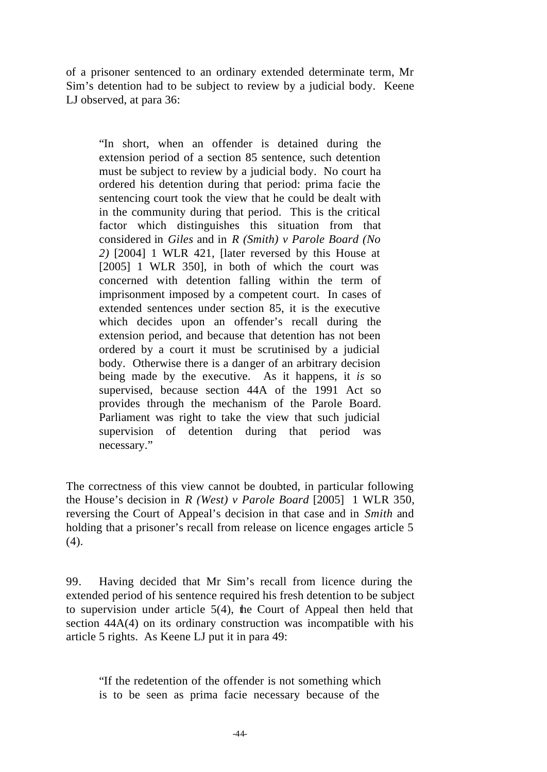of a prisoner sentenced to an ordinary extended determinate term, Mr Sim's detention had to be subject to review by a judicial body. Keene LJ observed, at para 36:

"In short, when an offender is detained during the extension period of a section 85 sentence, such detention must be subject to review by a judicial body. No court ha ordered his detention during that period: prima facie the sentencing court took the view that he could be dealt with in the community during that period. This is the critical factor which distinguishes this situation from that considered in *Giles* and in *R (Smith) v Parole Board (No 2)* [2004] 1 WLR 421, [later reversed by this House at [2005] 1 WLR 350], in both of which the court was concerned with detention falling within the term of imprisonment imposed by a competent court. In cases of extended sentences under section 85, it is the executive which decides upon an offender's recall during the extension period, and because that detention has not been ordered by a court it must be scrutinised by a judicial body. Otherwise there is a danger of an arbitrary decision being made by the executive. As it happens, it *is* so supervised, because section 44A of the 1991 Act so provides through the mechanism of the Parole Board. Parliament was right to take the view that such judicial supervision of detention during that period was necessary."

The correctness of this view cannot be doubted, in particular following the House's decision in *R (West) v Parole Board* [2005] 1 WLR 350, reversing the Court of Appeal's decision in that case and in *Smith* and holding that a prisoner's recall from release on licence engages article 5 (4)*.*

99. Having decided that Mr Sim's recall from licence during the extended period of his sentence required his fresh detention to be subject to supervision under article  $5(4)$ , the Court of Appeal then held that section 44A(4) on its ordinary construction was incompatible with his article 5 rights. As Keene LJ put it in para 49:

"If the redetention of the offender is not something which is to be seen as prima facie necessary because of the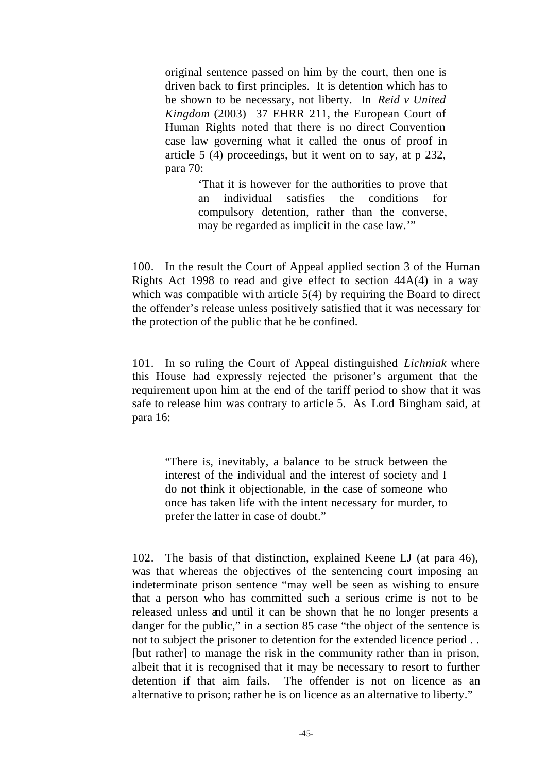original sentence passed on him by the court, then one is driven back to first principles. It is detention which has to be shown to be necessary, not liberty. In *Reid v United Kingdom* (2003) 37 EHRR 211, the European Court of Human Rights noted that there is no direct Convention case law governing what it called the onus of proof in article 5 (4) proceedings, but it went on to say, at p 232, para 70:

> 'That it is however for the authorities to prove that an individual satisfies the conditions for compulsory detention, rather than the converse, may be regarded as implicit in the case law.'"

100. In the result the Court of Appeal applied section 3 of the Human Rights Act 1998 to read and give effect to section  $44A(4)$  in a way which was compatible with article 5(4) by requiring the Board to direct the offender's release unless positively satisfied that it was necessary for the protection of the public that he be confined.

101. In so ruling the Court of Appeal distinguished *Lichniak* where this House had expressly rejected the prisoner's argument that the requirement upon him at the end of the tariff period to show that it was safe to release him was contrary to article 5. As Lord Bingham said, at para 16:

"There is, inevitably, a balance to be struck between the interest of the individual and the interest of society and I do not think it objectionable, in the case of someone who once has taken life with the intent necessary for murder, to prefer the latter in case of doubt."

102. The basis of that distinction, explained Keene LJ (at para 46), was that whereas the objectives of the sentencing court imposing an indeterminate prison sentence "may well be seen as wishing to ensure that a person who has committed such a serious crime is not to be released unless and until it can be shown that he no longer presents a danger for the public," in a section 85 case "the object of the sentence is not to subject the prisoner to detention for the extended licence period . . [but rather] to manage the risk in the community rather than in prison, albeit that it is recognised that it may be necessary to resort to further detention if that aim fails. The offender is not on licence as an alternative to prison; rather he is on licence as an alternative to liberty."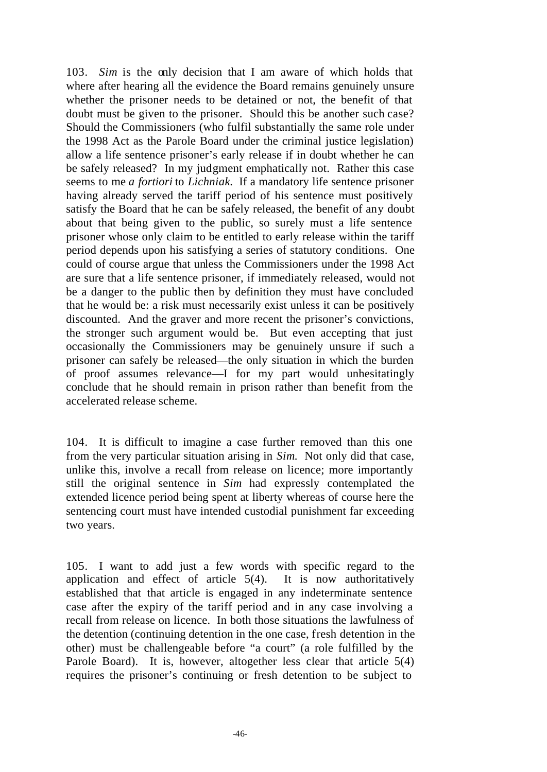103. *Sim* is the only decision that I am aware of which holds that where after hearing all the evidence the Board remains genuinely unsure whether the prisoner needs to be detained or not, the benefit of that doubt must be given to the prisoner. Should this be another such case? Should the Commissioners (who fulfil substantially the same role under the 1998 Act as the Parole Board under the criminal justice legislation) allow a life sentence prisoner's early release if in doubt whether he can be safely released? In my judgment emphatically not. Rather this case seems to me *a fortiori* to *Lichniak.* If a mandatory life sentence prisoner having already served the tariff period of his sentence must positively satisfy the Board that he can be safely released, the benefit of any doubt about that being given to the public, so surely must a life sentence prisoner whose only claim to be entitled to early release within the tariff period depends upon his satisfying a series of statutory conditions. One could of course argue that unless the Commissioners under the 1998 Act are sure that a life sentence prisoner, if immediately released, would not be a danger to the public then by definition they must have concluded that he would be: a risk must necessarily exist unless it can be positively discounted. And the graver and more recent the prisoner's convictions, the stronger such argument would be. But even accepting that just occasionally the Commissioners may be genuinely unsure if such a prisoner can safely be released—the only situation in which the burden of proof assumes relevance—I for my part would unhesitatingly conclude that he should remain in prison rather than benefit from the accelerated release scheme.

104. It is difficult to imagine a case further removed than this one from the very particular situation arising in *Sim*. Not only did that case, unlike this, involve a recall from release on licence; more importantly still the original sentence in *Sim* had expressly contemplated the extended licence period being spent at liberty whereas of course here the sentencing court must have intended custodial punishment far exceeding two years.

105. I want to add just a few words with specific regard to the application and effect of article 5(4). It is now authoritatively established that that article is engaged in any indeterminate sentence case after the expiry of the tariff period and in any case involving a recall from release on licence. In both those situations the lawfulness of the detention (continuing detention in the one case, fresh detention in the other) must be challengeable before "a court" (a role fulfilled by the Parole Board). It is, however, altogether less clear that article 5(4) requires the prisoner's continuing or fresh detention to be subject to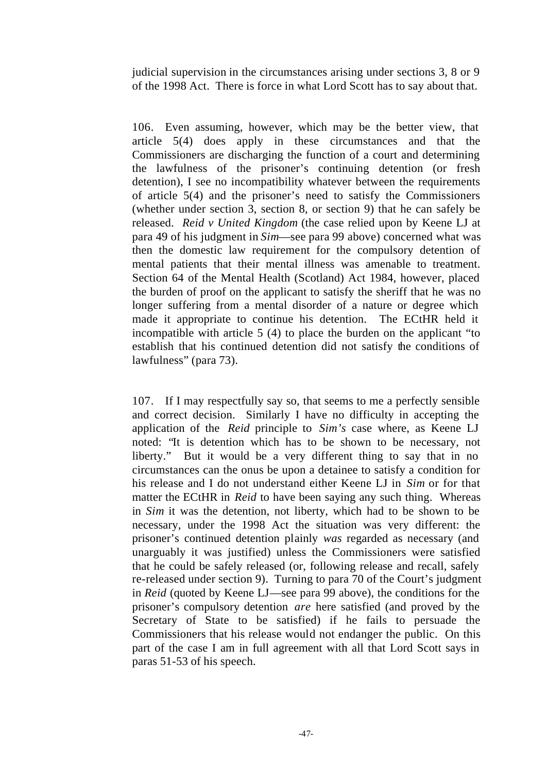judicial supervision in the circumstances arising under sections 3, 8 or 9 of the 1998 Act. There is force in what Lord Scott has to say about that.

106. Even assuming, however, which may be the better view, that article 5(4) does apply in these circumstances and that the Commissioners are discharging the function of a court and determining the lawfulness of the prisoner's continuing detention (or fresh detention), I see no incompatibility whatever between the requirements of article 5(4) and the prisoner's need to satisfy the Commissioners (whether under section 3, section 8, or section 9) that he can safely be released. *Reid v United Kingdom* (the case relied upon by Keene LJ at para 49 of his judgment in *Sim*—see para 99 above) concerned what was then the domestic law requirement for the compulsory detention of mental patients that their mental illness was amenable to treatment. Section 64 of the Mental Health (Scotland) Act 1984, however, placed the burden of proof on the applicant to satisfy the sheriff that he was no longer suffering from a mental disorder of a nature or degree which made it appropriate to continue his detention. The ECtHR held it incompatible with article 5 (4) to place the burden on the applicant "to establish that his continued detention did not satisfy the conditions of lawfulness" (para 73).

107. If I may respectfully say so, that seems to me a perfectly sensible and correct decision. Similarly I have no difficulty in accepting the application of the *Reid* principle to *Sim's* case where, as Keene LJ noted: "It is detention which has to be shown to be necessary, not liberty." But it would be a very different thing to say that in no circumstances can the onus be upon a detainee to satisfy a condition for his release and I do not understand either Keene LJ in *Sim* or for that matter the ECtHR in *Reid* to have been saying any such thing. Whereas in *Sim* it was the detention, not liberty, which had to be shown to be necessary, under the 1998 Act the situation was very different: the prisoner's continued detention plainly *was* regarded as necessary (and unarguably it was justified) unless the Commissioners were satisfied that he could be safely released (or, following release and recall, safely re-released under section 9). Turning to para 70 of the Court's judgment in *Reid* (quoted by Keene LJ—see para 99 above), the conditions for the prisoner's compulsory detention *are* here satisfied (and proved by the Secretary of State to be satisfied) if he fails to persuade the Commissioners that his release would not endanger the public. On this part of the case I am in full agreement with all that Lord Scott says in paras 51-53 of his speech.